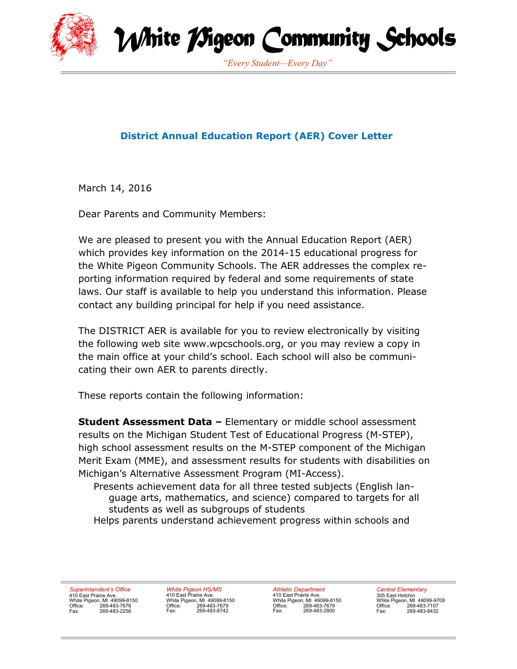

White *T*Sigeon Community Schools

*"Every Student—Every Day"*

### **District Annual Education Report (AER) Cover Letter**

March 14, 2016

Dear Parents and Community Members:

We are pleased to present you with the Annual Education Report (AER) which provides key information on the 2014-15 educational progress for the White Pigeon Community Schools. The AER addresses the complex reporting information required by federal and some requirements of state laws. Our staff is available to help you understand this information. Please contact any building principal for help if you need assistance.

The DISTRICT AER is available for you to review electronically by visiting the following web site www.wpcschools.org, or you may review a copy in the main office at your child's school. Each school will also be communicating their own AER to parents directly.

These reports contain the following information:

**Student Assessment Data –** Elementary or middle school assessment results on the Michigan Student Test of Educational Progress (M-STEP), high school assessment results on the M-STEP component of the Michigan Merit Exam (MME), and assessment results for students with disabilities on Michigan's Alternative Assessment Program (MI-Access).

Presents achievement data for all three tested subjects (English language arts, mathematics, and science) compared to targets for all students as well as subgroups of students Helps parents understand achievement progress within schools and

*Superintendent's Office* 410 East Prairie Ave. White Pigeon, MI 49099-8150 Office: 269-483-7676 Fax: 269-483-2256

*White Pigeon HS/MS* 410 East Prairie Ave. White Pigeon, MI 49099-8150 Office: 269-483-7679 Fax: 269-483-8742

*Athletic Department* 410 East Prairie Ave. White Pigeon, MI 49099-8150 Office: 269-483-7679 Fax: 269-483-2800

*Central Elementary* 305 East Hotchin White Pigeon, MI 49099-9709 Office: 269-483-7107 Fax: 269-483-8432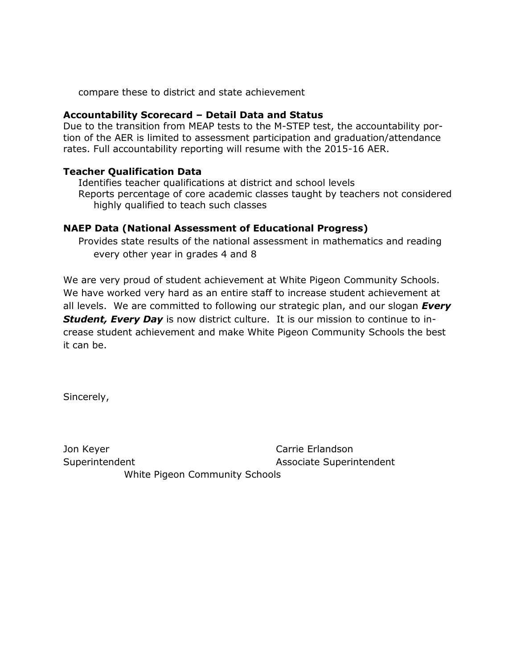compare these to district and state achievement

#### **Accountability Scorecard – Detail Data and Status**

Due to the transition from MEAP tests to the M-STEP test, the accountability portion of the AER is limited to assessment participation and graduation/attendance rates. Full accountability reporting will resume with the 2015-16 AER.

#### **Teacher Qualification Data**

Identifies teacher qualifications at district and school levels Reports percentage of core academic classes taught by teachers not considered highly qualified to teach such classes

#### **NAEP Data (National Assessment of Educational Progress)**

Provides state results of the national assessment in mathematics and reading every other year in grades 4 and 8

We are very proud of student achievement at White Pigeon Community Schools. We have worked very hard as an entire staff to increase student achievement at all levels. We are committed to following our strategic plan, and our slogan *Every Student, Every Day* is now district culture. It is our mission to continue to increase student achievement and make White Pigeon Community Schools the best it can be.

Sincerely,

Jon Keyer **Carrie Erlandson** Superintendent Associate Superintendent

White Pigeon Community Schools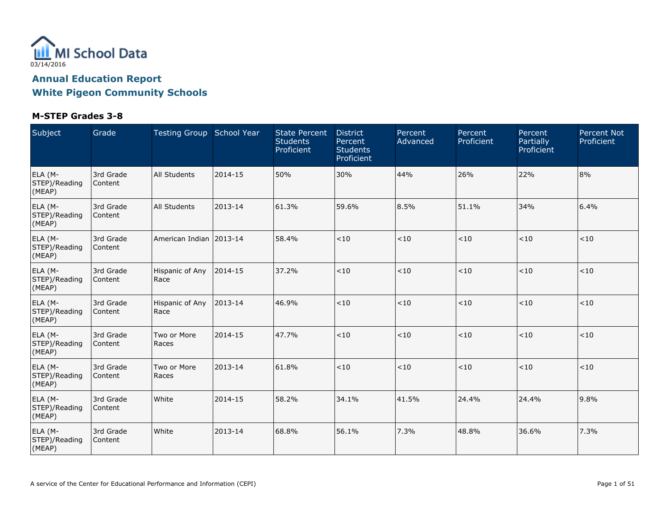

| Subject                            | Grade                | Testing Group School Year |         | <b>State Percent</b><br><b>Students</b><br>Proficient | <b>District</b><br>Percent<br><b>Students</b><br>Proficient | Percent<br>Advanced | Percent<br>Proficient | Percent<br>Partially<br>Proficient | <b>Percent Not</b><br>Proficient |
|------------------------------------|----------------------|---------------------------|---------|-------------------------------------------------------|-------------------------------------------------------------|---------------------|-----------------------|------------------------------------|----------------------------------|
| ELA (M-<br>STEP)/Reading<br>(MEAP) | 3rd Grade<br>Content | All Students              | 2014-15 | 50%                                                   | 30%                                                         | 44%                 | 26%                   | 22%                                | 8%                               |
| ELA (M-<br>STEP)/Reading<br>(MEAP) | 3rd Grade<br>Content | All Students              | 2013-14 | 61.3%                                                 | 59.6%                                                       | 8.5%                | 51.1%                 | 34%                                | 6.4%                             |
| ELA (M-<br>STEP)/Reading<br>(MEAP) | 3rd Grade<br>Content | American Indian 2013-14   |         | 58.4%                                                 | $<10$                                                       | $<10$               | < 10                  | $<10$                              | < 10                             |
| ELA (M-<br>STEP)/Reading<br>(MEAP) | 3rd Grade<br>Content | Hispanic of Any<br>Race   | 2014-15 | 37.2%                                                 | < 10                                                        | $<10$               | < 10                  | $<\!10$                            | $<10$                            |
| ELA (M-<br>STEP)/Reading<br>(MEAP) | 3rd Grade<br>Content | Hispanic of Any<br>Race   | 2013-14 | 46.9%                                                 | < 10                                                        | $<10$               | < 10                  | $<10$                              | < 10                             |
| ELA (M-<br>STEP)/Reading<br>(MEAP) | 3rd Grade<br>Content | Two or More<br>Races      | 2014-15 | 47.7%                                                 | < 10                                                        | $<10$               | < 10                  | $<10$                              | $<10$                            |
| ELA (M-<br>STEP)/Reading<br>(MEAP) | 3rd Grade<br>Content | Two or More<br>Races      | 2013-14 | 61.8%                                                 | < 10                                                        | $<10$               | < 10                  | $<\!10$                            | $<10$                            |
| ELA (M-<br>STEP)/Reading<br>(MEAP) | 3rd Grade<br>Content | White                     | 2014-15 | 58.2%                                                 | 34.1%                                                       | 41.5%               | 24.4%                 | 24.4%                              | 9.8%                             |
| ELA (M-<br>STEP)/Reading<br>(MEAP) | 3rd Grade<br>Content | White                     | 2013-14 | 68.8%                                                 | 56.1%                                                       | 7.3%                | 48.8%                 | 36.6%                              | 7.3%                             |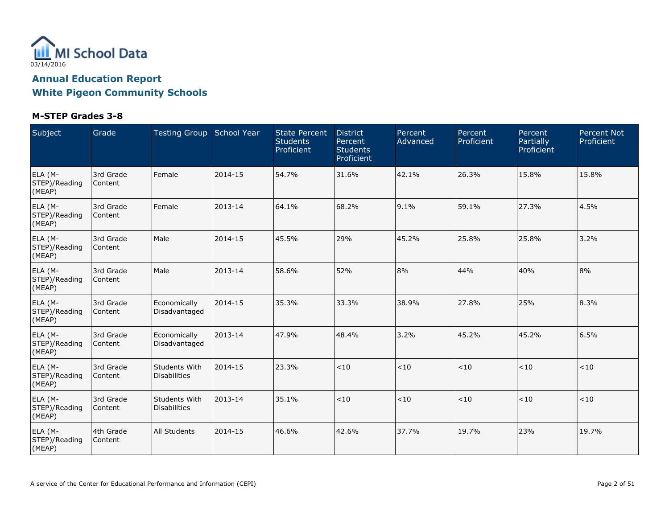

| Subject                            | Grade                | Testing Group School Year                   |         | <b>State Percent</b><br><b>Students</b><br>Proficient | <b>District</b><br>Percent<br><b>Students</b><br>Proficient | Percent<br>Advanced | Percent<br>Proficient | Percent<br>Partially<br>Proficient | <b>Percent Not</b><br>Proficient |
|------------------------------------|----------------------|---------------------------------------------|---------|-------------------------------------------------------|-------------------------------------------------------------|---------------------|-----------------------|------------------------------------|----------------------------------|
| ELA (M-<br>STEP)/Reading<br>(MEAP) | 3rd Grade<br>Content | Female                                      | 2014-15 | 54.7%                                                 | 31.6%                                                       | 42.1%               | 26.3%                 | 15.8%                              | 15.8%                            |
| ELA (M-<br>STEP)/Reading<br>(MEAP) | 3rd Grade<br>Content | Female                                      | 2013-14 | 64.1%                                                 | 68.2%                                                       | 9.1%                | 59.1%                 | 27.3%                              | 4.5%                             |
| ELA (M-<br>STEP)/Reading<br>(MEAP) | 3rd Grade<br>Content | Male                                        | 2014-15 | 45.5%                                                 | 29%                                                         | 45.2%               | 25.8%                 | 25.8%                              | 3.2%                             |
| ELA (M-<br>STEP)/Reading<br>(MEAP) | 3rd Grade<br>Content | Male                                        | 2013-14 | 58.6%                                                 | 52%                                                         | 8%                  | 44%                   | 40%                                | 8%                               |
| ELA (M-<br>STEP)/Reading<br>(MEAP) | 3rd Grade<br>Content | Economically<br>Disadvantaged               | 2014-15 | 35.3%                                                 | 33.3%                                                       | 38.9%               | 27.8%                 | 25%                                | 8.3%                             |
| ELA (M-<br>STEP)/Reading<br>(MEAP) | 3rd Grade<br>Content | Economically<br>Disadvantaged               | 2013-14 | 47.9%                                                 | 48.4%                                                       | 3.2%                | 45.2%                 | 45.2%                              | 6.5%                             |
| ELA (M-<br>STEP)/Reading<br>(MEAP) | 3rd Grade<br>Content | <b>Students With</b><br>Disabilities        | 2014-15 | 23.3%                                                 | $<10$                                                       | $<\!10$             | < 10                  | < 10                               | $<10$                            |
| ELA (M-<br>STEP)/Reading<br>(MEAP) | 3rd Grade<br>Content | <b>Students With</b><br><b>Disabilities</b> | 2013-14 | 35.1%                                                 | $<10$                                                       | $<10$               | < 10                  | < 10                               | < 10                             |
| ELA (M-<br>STEP)/Reading<br>(MEAP) | 4th Grade<br>Content | <b>All Students</b>                         | 2014-15 | 46.6%                                                 | 42.6%                                                       | 37.7%               | 19.7%                 | 23%                                | 19.7%                            |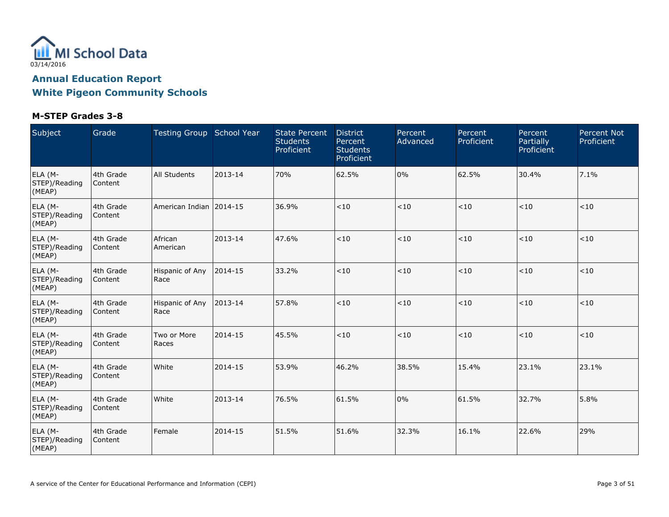

| Subject                            | Grade                | Testing Group School Year |         | <b>State Percent</b><br><b>Students</b><br>Proficient | <b>District</b><br>Percent<br><b>Students</b><br>Proficient | Percent<br>Advanced | Percent<br>Proficient | Percent<br>Partially<br>Proficient | <b>Percent Not</b><br>Proficient |
|------------------------------------|----------------------|---------------------------|---------|-------------------------------------------------------|-------------------------------------------------------------|---------------------|-----------------------|------------------------------------|----------------------------------|
| ELA (M-<br>STEP)/Reading<br>(MEAP) | 4th Grade<br>Content | <b>All Students</b>       | 2013-14 | 70%                                                   | 62.5%                                                       | 0%                  | 62.5%                 | 30.4%                              | 7.1%                             |
| ELA (M-<br>STEP)/Reading<br>(MEAP) | 4th Grade<br>Content | American Indian 12014-15  |         | 36.9%                                                 | < 10                                                        | < 10                | < 10                  | < 10                               | < 10                             |
| ELA (M-<br>STEP)/Reading<br>(MEAP) | 4th Grade<br>Content | African<br>American       | 2013-14 | 47.6%                                                 | $<10$                                                       | $<10$               | $<10$                 | < 10                               | < 10                             |
| ELA (M-<br>STEP)/Reading<br>(MEAP) | 4th Grade<br>Content | Hispanic of Any<br>Race   | 2014-15 | 33.2%                                                 | <10                                                         | $<10$               | < 10                  | < 10                               | < 10                             |
| ELA (M-<br>STEP)/Reading<br>(MEAP) | 4th Grade<br>Content | Hispanic of Any<br>Race   | 2013-14 | 57.8%                                                 | < 10                                                        | < 10                | < 10                  | < 10                               | < 10                             |
| ELA (M-<br>STEP)/Reading<br>(MEAP) | 4th Grade<br>Content | Two or More<br>Races      | 2014-15 | 45.5%                                                 | $<10$                                                       | < 10                | < 10                  | < 10                               | < 10                             |
| ELA (M-<br>STEP)/Reading<br>(MEAP) | 4th Grade<br>Content | White                     | 2014-15 | 53.9%                                                 | 46.2%                                                       | 38.5%               | 15.4%                 | 23.1%                              | 23.1%                            |
| ELA (M-<br>STEP)/Reading<br>(MEAP) | 4th Grade<br>Content | White                     | 2013-14 | 76.5%                                                 | 61.5%                                                       | 0%                  | 61.5%                 | 32.7%                              | 5.8%                             |
| ELA (M-<br>STEP)/Reading<br>(MEAP) | 4th Grade<br>Content | Female                    | 2014-15 | 51.5%                                                 | 51.6%                                                       | 32.3%               | 16.1%                 | 22.6%                              | 29%                              |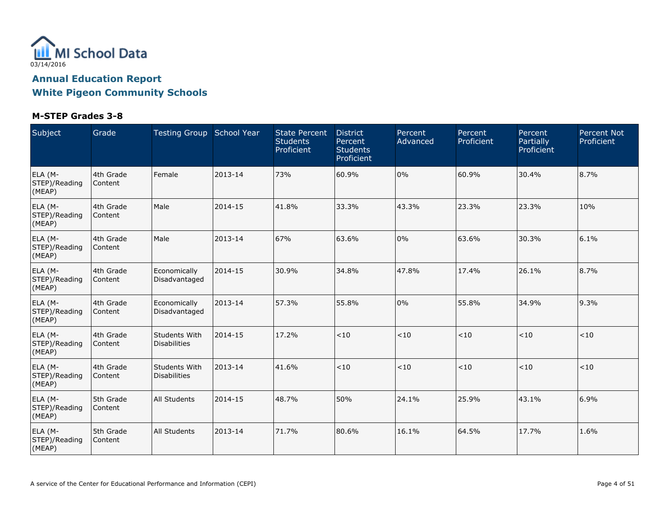

| Subject                            | Grade                | Testing Group School Year                   |         | <b>State Percent</b><br><b>Students</b><br>Proficient | <b>District</b><br>Percent<br><b>Students</b><br>Proficient | Percent<br>Advanced | Percent<br>Proficient | Percent<br>Partially<br>Proficient | <b>Percent Not</b><br>Proficient |
|------------------------------------|----------------------|---------------------------------------------|---------|-------------------------------------------------------|-------------------------------------------------------------|---------------------|-----------------------|------------------------------------|----------------------------------|
| ELA (M-<br>STEP)/Reading<br>(MEAP) | 4th Grade<br>Content | Female                                      | 2013-14 | 73%                                                   | 60.9%                                                       | $0\%$               | 60.9%                 | 30.4%                              | 8.7%                             |
| ELA (M-<br>STEP)/Reading<br>(MEAP) | 4th Grade<br>Content | Male                                        | 2014-15 | 41.8%                                                 | 33.3%                                                       | 43.3%               | 23.3%                 | 23.3%                              | 10%                              |
| ELA (M-<br>STEP)/Reading<br>(MEAP) | 4th Grade<br>Content | Male                                        | 2013-14 | 67%                                                   | 63.6%                                                       | 0%                  | 63.6%                 | 30.3%                              | 6.1%                             |
| ELA (M-<br>STEP)/Reading<br>(MEAP) | 4th Grade<br>Content | Economically<br>Disadvantaged               | 2014-15 | 30.9%                                                 | 34.8%                                                       | 47.8%               | 17.4%                 | 26.1%                              | 8.7%                             |
| ELA (M-<br>STEP)/Reading<br>(MEAP) | 4th Grade<br>Content | Economically<br>Disadvantaged               | 2013-14 | 57.3%                                                 | 55.8%                                                       | 0%                  | 55.8%                 | 34.9%                              | 9.3%                             |
| ELA (M-<br>STEP)/Reading<br>(MEAP) | 4th Grade<br>Content | <b>Students With</b><br><b>Disabilities</b> | 2014-15 | 17.2%                                                 | $<10$                                                       | < 10                | $<10$                 | $<10$                              | < 10                             |
| ELA (M-<br>STEP)/Reading<br>(MEAP) | 4th Grade<br>Content | <b>Students With</b><br>Disabilities        | 2013-14 | 41.6%                                                 | $<10$                                                       | $<\!10$             | < 10                  | < 10                               | $<10$                            |
| ELA (M-<br>STEP)/Reading<br>(MEAP) | 5th Grade<br>Content | <b>All Students</b>                         | 2014-15 | 48.7%                                                 | 50%                                                         | 24.1%               | 25.9%                 | 43.1%                              | 6.9%                             |
| ELA (M-<br>STEP)/Reading<br>(MEAP) | 5th Grade<br>Content | <b>All Students</b>                         | 2013-14 | 71.7%                                                 | 80.6%                                                       | 16.1%               | 64.5%                 | 17.7%                              | 1.6%                             |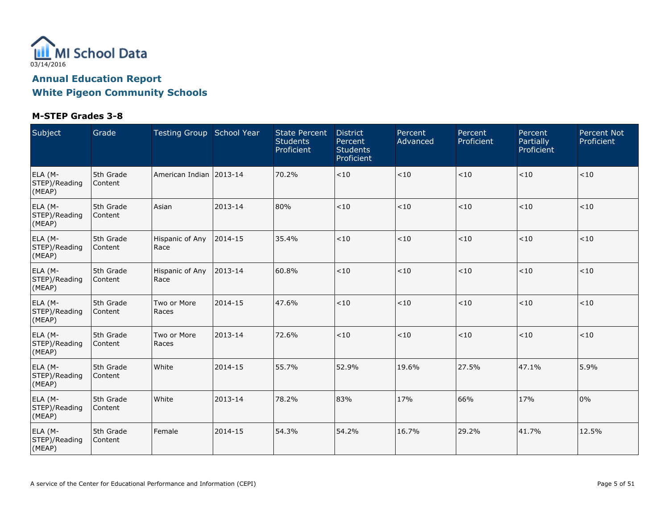

| Subject                            | Grade                | Testing Group School Year |         | <b>State Percent</b><br><b>Students</b><br>Proficient | <b>District</b><br>Percent<br><b>Students</b><br>Proficient | Percent<br>Advanced | Percent<br>Proficient | Percent<br>Partially<br>Proficient | <b>Percent Not</b><br>Proficient |
|------------------------------------|----------------------|---------------------------|---------|-------------------------------------------------------|-------------------------------------------------------------|---------------------|-----------------------|------------------------------------|----------------------------------|
| ELA (M-<br>STEP)/Reading<br>(MEAP) | 5th Grade<br>Content | American Indian 12013-14  |         | 70.2%                                                 | $<10$                                                       | < 10                | $<10$                 | < 10                               | < 10                             |
| ELA (M-<br>STEP)/Reading<br>(MEAP) | 5th Grade<br>Content | Asian                     | 2013-14 | 80%                                                   | < 10                                                        | $<10$               | < 10                  | $<10$                              | < 10                             |
| ELA (M-<br>STEP)/Reading<br>(MEAP) | 5th Grade<br>Content | Hispanic of Any<br>Race   | 2014-15 | 35.4%                                                 | $<\!10$                                                     | < 10                | $<\!10$               | < 10                               | < 10                             |
| ELA (M-<br>STEP)/Reading<br>(MEAP) | 5th Grade<br>Content | Hispanic of Any<br>Race   | 2013-14 | 60.8%                                                 | $<10$                                                       | < 10                | < 10                  | < 10                               | < 10                             |
| ELA (M-<br>STEP)/Reading<br>(MEAP) | 5th Grade<br>Content | Two or More<br>Races      | 2014-15 | 47.6%                                                 | $<10$                                                       | $<10$               | < 10                  | < 10                               | < 10                             |
| ELA (M-<br>STEP)/Reading<br>(MEAP) | 5th Grade<br>Content | Two or More<br>Races      | 2013-14 | 72.6%                                                 | $<10$                                                       | $<10$               | < 10                  | < 10                               | < 10                             |
| ELA (M-<br>STEP)/Reading<br>(MEAP) | 5th Grade<br>Content | White                     | 2014-15 | 55.7%                                                 | 52.9%                                                       | 19.6%               | 27.5%                 | 47.1%                              | 5.9%                             |
| ELA (M-<br>STEP)/Reading<br>(MEAP) | 5th Grade<br>Content | White                     | 2013-14 | 78.2%                                                 | 83%                                                         | 17%                 | 66%                   | 17%                                | 0%                               |
| ELA (M-<br>STEP)/Reading<br>(MEAP) | 5th Grade<br>Content | Female                    | 2014-15 | 54.3%                                                 | 54.2%                                                       | 16.7%               | 29.2%                 | 41.7%                              | 12.5%                            |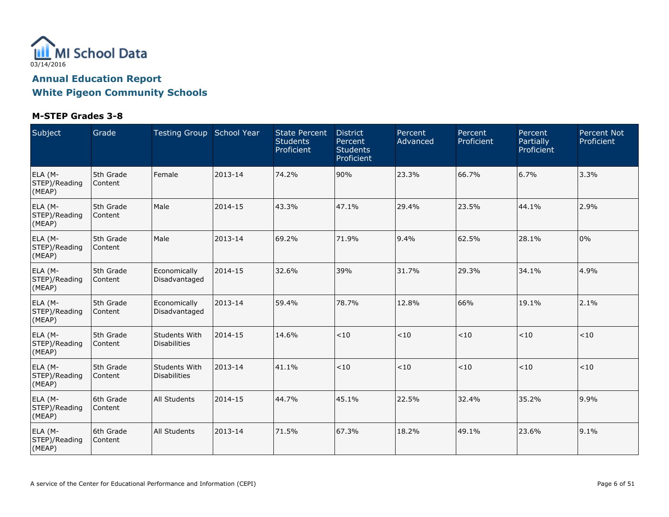

| Subject                            | Grade                | Testing Group School Year            |         | <b>State Percent</b><br><b>Students</b><br>Proficient | <b>District</b><br>Percent<br><b>Students</b><br>Proficient | Percent<br>Advanced | Percent<br>Proficient | Percent<br>Partially<br>Proficient | <b>Percent Not</b><br>Proficient |
|------------------------------------|----------------------|--------------------------------------|---------|-------------------------------------------------------|-------------------------------------------------------------|---------------------|-----------------------|------------------------------------|----------------------------------|
| ELA (M-<br>STEP)/Reading<br>(MEAP) | 5th Grade<br>Content | Female                               | 2013-14 | 74.2%                                                 | 90%                                                         | 23.3%               | 66.7%                 | 6.7%                               | 3.3%                             |
| ELA (M-<br>STEP)/Reading<br>(MEAP) | 5th Grade<br>Content | Male                                 | 2014-15 | 43.3%                                                 | 47.1%                                                       | 29.4%               | 23.5%                 | 44.1%                              | 2.9%                             |
| ELA (M-<br>STEP)/Reading<br>(MEAP) | 5th Grade<br>Content | Male                                 | 2013-14 | 69.2%                                                 | 71.9%                                                       | 9.4%                | 62.5%                 | 28.1%                              | 0%                               |
| ELA (M-<br>STEP)/Reading<br>(MEAP) | 5th Grade<br>Content | Economically<br>Disadvantaged        | 2014-15 | 32.6%                                                 | 39%                                                         | 31.7%               | 29.3%                 | 34.1%                              | 4.9%                             |
| ELA (M-<br>STEP)/Reading<br>(MEAP) | 5th Grade<br>Content | Economically<br>Disadvantaged        | 2013-14 | 59.4%                                                 | 78.7%                                                       | 12.8%               | 66%                   | 19.1%                              | 2.1%                             |
| ELA (M-<br>STEP)/Reading<br>(MEAP) | 5th Grade<br>Content | Students With<br><b>Disabilities</b> | 2014-15 | 14.6%                                                 | < 10                                                        | < 10                | $<10$                 | ~10                                | $<10$                            |
| ELA (M-<br>STEP)/Reading<br>(MEAP) | 5th Grade<br>Content | Students With<br><b>Disabilities</b> | 2013-14 | 41.1%                                                 | < 10                                                        | $<10$               | $<10$                 | < 10                               | $<10$                            |
| ELA (M-<br>STEP)/Reading<br>(MEAP) | 6th Grade<br>Content | <b>All Students</b>                  | 2014-15 | 44.7%                                                 | 45.1%                                                       | 22.5%               | 32.4%                 | 35.2%                              | 9.9%                             |
| ELA (M-<br>STEP)/Reading<br>(MEAP) | 6th Grade<br>Content | <b>All Students</b>                  | 2013-14 | 71.5%                                                 | 67.3%                                                       | 18.2%               | 49.1%                 | 23.6%                              | 9.1%                             |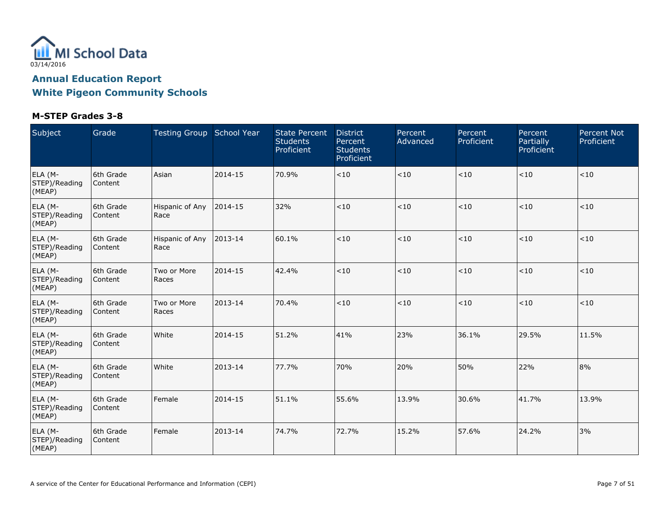

| Subject                            | Grade                | Testing Group School Year |         | <b>State Percent</b><br><b>Students</b><br>Proficient | <b>District</b><br>Percent<br><b>Students</b><br>Proficient | Percent<br>Advanced | Percent<br>Proficient | Percent<br>Partially<br>Proficient | <b>Percent Not</b><br>Proficient |
|------------------------------------|----------------------|---------------------------|---------|-------------------------------------------------------|-------------------------------------------------------------|---------------------|-----------------------|------------------------------------|----------------------------------|
| ELA (M-<br>STEP)/Reading<br>(MEAP) | 6th Grade<br>Content | Asian                     | 2014-15 | 70.9%                                                 | $<10$                                                       | $<10$               | $<10$                 | ~10                                | < 10                             |
| ELA (M-<br>STEP)/Reading<br>(MEAP) | 6th Grade<br>Content | Hispanic of Any<br>Race   | 2014-15 | 32%                                                   | < 10                                                        | < 10                | < 10                  | < 10                               | < 10                             |
| ELA (M-<br>STEP)/Reading<br>(MEAP) | 6th Grade<br>Content | Hispanic of Any<br>Race   | 2013-14 | 60.1%                                                 | $<10$                                                       | $<\!10$             | $<10$                 | < 10                               | < 10                             |
| ELA (M-<br>STEP)/Reading<br>(MEAP) | 6th Grade<br>Content | Two or More<br>Races      | 2014-15 | 42.4%                                                 | $<10$                                                       | $<10$               | $<10$                 | < 10                               | < 10                             |
| ELA (M-<br>STEP)/Reading<br>(MEAP) | 6th Grade<br>Content | Two or More<br>Races      | 2013-14 | 70.4%                                                 | < 10                                                        | $<10$               | < 10                  | $<10$                              | < 10                             |
| ELA (M-<br>STEP)/Reading<br>(MEAP) | 6th Grade<br>Content | White                     | 2014-15 | 51.2%                                                 | 41%                                                         | 23%                 | 36.1%                 | 29.5%                              | 11.5%                            |
| ELA (M-<br>STEP)/Reading<br>(MEAP) | 6th Grade<br>Content | White                     | 2013-14 | 77.7%                                                 | 70%                                                         | 20%                 | 50%                   | 22%                                | 8%                               |
| ELA (M-<br>STEP)/Reading<br>(MEAP) | 6th Grade<br>Content | Female                    | 2014-15 | 51.1%                                                 | 55.6%                                                       | 13.9%               | 30.6%                 | 41.7%                              | 13.9%                            |
| ELA (M-<br>STEP)/Reading<br>(MEAP) | 6th Grade<br>Content | Female                    | 2013-14 | 74.7%                                                 | 72.7%                                                       | 15.2%               | 57.6%                 | 24.2%                              | 3%                               |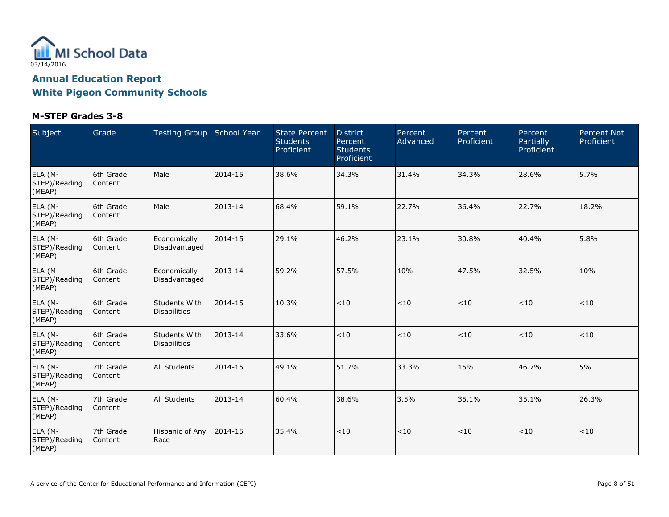

| Subject                            | Grade                | Testing Group School Year                   |         | <b>State Percent</b><br><b>Students</b><br>Proficient | <b>District</b><br>Percent<br><b>Students</b><br>Proficient | Percent<br>Advanced | Percent<br>Proficient | Percent<br>Partially<br>Proficient | <b>Percent Not</b><br>Proficient |
|------------------------------------|----------------------|---------------------------------------------|---------|-------------------------------------------------------|-------------------------------------------------------------|---------------------|-----------------------|------------------------------------|----------------------------------|
| ELA (M-<br>STEP)/Reading<br>(MEAP) | 6th Grade<br>Content | Male                                        | 2014-15 | 38.6%                                                 | 34.3%                                                       | 31.4%               | 34.3%                 | 28.6%                              | 5.7%                             |
| ELA (M-<br>STEP)/Reading<br>(MEAP) | 6th Grade<br>Content | Male                                        | 2013-14 | 68.4%                                                 | 59.1%                                                       | 22.7%               | 36.4%                 | 22.7%                              | 18.2%                            |
| ELA (M-<br>STEP)/Reading<br>(MEAP) | 6th Grade<br>Content | Economically<br>Disadvantaged               | 2014-15 | 29.1%                                                 | 46.2%                                                       | 23.1%               | 30.8%                 | 40.4%                              | 5.8%                             |
| ELA (M-<br>STEP)/Reading<br>(MEAP) | 6th Grade<br>Content | Economically<br>Disadvantaged               | 2013-14 | 59.2%                                                 | 57.5%                                                       | 10%                 | 47.5%                 | 32.5%                              | 10%                              |
| ELA (M-<br>STEP)/Reading<br>(MEAP) | 6th Grade<br>Content | <b>Students With</b><br><b>Disabilities</b> | 2014-15 | 10.3%                                                 | < 10                                                        | < 10                | < 10                  | < 10                               | < 10                             |
| ELA (M-<br>STEP)/Reading<br>(MEAP) | 6th Grade<br>Content | <b>Students With</b><br><b>Disabilities</b> | 2013-14 | 33.6%                                                 | $<10$                                                       | < 10                | $<10$                 | $<10$                              | $<10$                            |
| ELA (M-<br>STEP)/Reading<br>(MEAP) | 7th Grade<br>Content | <b>All Students</b>                         | 2014-15 | 49.1%                                                 | 51.7%                                                       | 33.3%               | 15%                   | 46.7%                              | 5%                               |
| ELA (M-<br>STEP)/Reading<br>(MEAP) | 7th Grade<br>Content | <b>All Students</b>                         | 2013-14 | 60.4%                                                 | 38.6%                                                       | 3.5%                | 35.1%                 | 35.1%                              | 26.3%                            |
| ELA (M-<br>STEP)/Reading<br>(MEAP) | 7th Grade<br>Content | Hispanic of Any<br>Race                     | 2014-15 | 35.4%                                                 | < 10                                                        | < 10                | $ $ < 10              | < 10                               | < 10                             |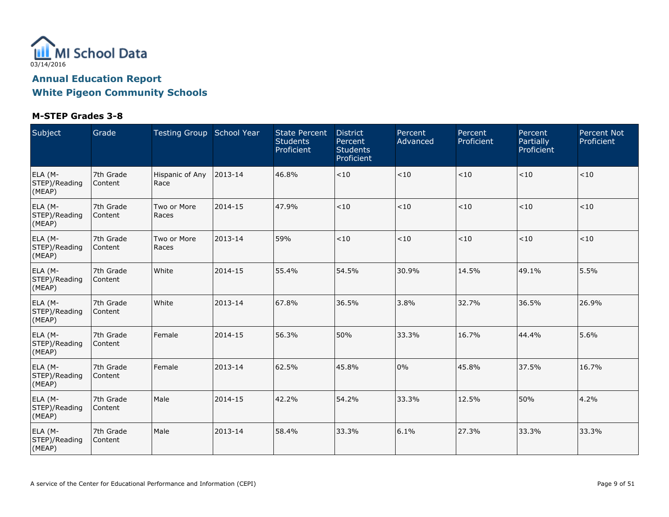

| Subject                            | Grade                | Testing Group School Year |         | <b>State Percent</b><br><b>Students</b><br>Proficient | <b>District</b><br>Percent<br><b>Students</b><br>Proficient | Percent<br>Advanced | Percent<br>Proficient | Percent<br>Partially<br>Proficient | <b>Percent Not</b><br>Proficient |
|------------------------------------|----------------------|---------------------------|---------|-------------------------------------------------------|-------------------------------------------------------------|---------------------|-----------------------|------------------------------------|----------------------------------|
| ELA (M-<br>STEP)/Reading<br>(MEAP) | 7th Grade<br>Content | Hispanic of Any<br>Race   | 2013-14 | 46.8%                                                 | $<\!10$                                                     | $<\!10$             | < 10                  | $<10$                              | < 10                             |
| ELA (M-<br>STEP)/Reading<br>(MEAP) | 7th Grade<br>Content | Two or More<br>Races      | 2014-15 | 47.9%                                                 | < 10                                                        | < 10                | < 10                  | < 10                               | < 10                             |
| ELA (M-<br>STEP)/Reading<br>(MEAP) | 7th Grade<br>Content | Two or More<br>Races      | 2013-14 | 59%                                                   | $<10$                                                       | < 10                | < 10                  | $<10$                              | < 10                             |
| ELA (M-<br>STEP)/Reading<br>(MEAP) | 7th Grade<br>Content | White                     | 2014-15 | 55.4%                                                 | 54.5%                                                       | 30.9%               | 14.5%                 | 49.1%                              | 5.5%                             |
| ELA (M-<br>STEP)/Reading<br>(MEAP) | 7th Grade<br>Content | White                     | 2013-14 | 67.8%                                                 | 36.5%                                                       | 3.8%                | 32.7%                 | 36.5%                              | 26.9%                            |
| ELA (M-<br>STEP)/Reading<br>(MEAP) | 7th Grade<br>Content | Female                    | 2014-15 | 56.3%                                                 | 50%                                                         | 33.3%               | 16.7%                 | 44.4%                              | 5.6%                             |
| ELA (M-<br>STEP)/Reading<br>(MEAP) | 7th Grade<br>Content | Female                    | 2013-14 | 62.5%                                                 | 45.8%                                                       | 0%                  | 45.8%                 | 37.5%                              | 16.7%                            |
| ELA (M-<br>STEP)/Reading<br>(MEAP) | 7th Grade<br>Content | Male                      | 2014-15 | 42.2%                                                 | 54.2%                                                       | 33.3%               | 12.5%                 | 50%                                | 4.2%                             |
| ELA (M-<br>STEP)/Reading<br>(MEAP) | 7th Grade<br>Content | Male                      | 2013-14 | 58.4%                                                 | 33.3%                                                       | 6.1%                | 27.3%                 | 33.3%                              | 33.3%                            |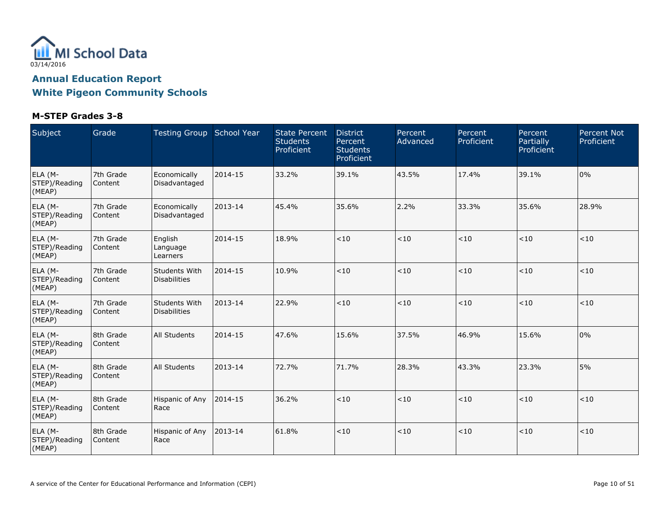

| Subject                            | Grade                | Testing Group School Year                   |         | <b>State Percent</b><br><b>Students</b><br>Proficient | <b>District</b><br>Percent<br><b>Students</b><br>Proficient | Percent<br>Advanced | Percent<br>Proficient | Percent<br>Partially<br>Proficient | <b>Percent Not</b><br>Proficient |
|------------------------------------|----------------------|---------------------------------------------|---------|-------------------------------------------------------|-------------------------------------------------------------|---------------------|-----------------------|------------------------------------|----------------------------------|
| ELA (M-<br>STEP)/Reading<br>(MEAP) | 7th Grade<br>Content | Economically<br>Disadvantaged               | 2014-15 | 33.2%                                                 | 39.1%                                                       | 43.5%               | 17.4%                 | 39.1%                              | 0%                               |
| ELA (M-<br>STEP)/Reading<br>(MEAP) | 7th Grade<br>Content | Economically<br>Disadvantaged               | 2013-14 | 45.4%                                                 | 35.6%                                                       | 2.2%                | 33.3%                 | 35.6%                              | 28.9%                            |
| ELA (M-<br>STEP)/Reading<br>(MEAP) | 7th Grade<br>Content | English<br>Language<br>Learners             | 2014-15 | 18.9%                                                 | $<10$                                                       | $<10$               | $<10$                 | ~10                                | < 10                             |
| ELA (M-<br>STEP)/Reading<br>(MEAP) | 7th Grade<br>Content | <b>Students With</b><br><b>Disabilities</b> | 2014-15 | 10.9%                                                 | <10                                                         | $<10$               | $<\!10$               | < 10                               | < 10                             |
| ELA (M-<br>STEP)/Reading<br>(MEAP) | 7th Grade<br>Content | <b>Students With</b><br><b>Disabilities</b> | 2013-14 | 22.9%                                                 | < 10                                                        | < 10                | < 10                  | < 10                               | < 10                             |
| ELA (M-<br>STEP)/Reading<br>(MEAP) | 8th Grade<br>Content | <b>All Students</b>                         | 2014-15 | 47.6%                                                 | 15.6%                                                       | 37.5%               | 46.9%                 | 15.6%                              | 0%                               |
| ELA (M-<br>STEP)/Reading<br>(MEAP) | 8th Grade<br>Content | <b>All Students</b>                         | 2013-14 | 72.7%                                                 | 71.7%                                                       | 28.3%               | 43.3%                 | 23.3%                              | 5%                               |
| ELA (M-<br>STEP)/Reading<br>(MEAP) | 8th Grade<br>Content | Hispanic of Any<br>Race                     | 2014-15 | 36.2%                                                 | < 10                                                        | < 10                | < 10                  | < 10                               | < 10                             |
| ELA (M-<br>STEP)/Reading<br>(MEAP) | 8th Grade<br>Content | Hispanic of Any<br>Race                     | 2013-14 | 61.8%                                                 | $<10$                                                       | < 10                | $<10$                 | < 10                               | < 10                             |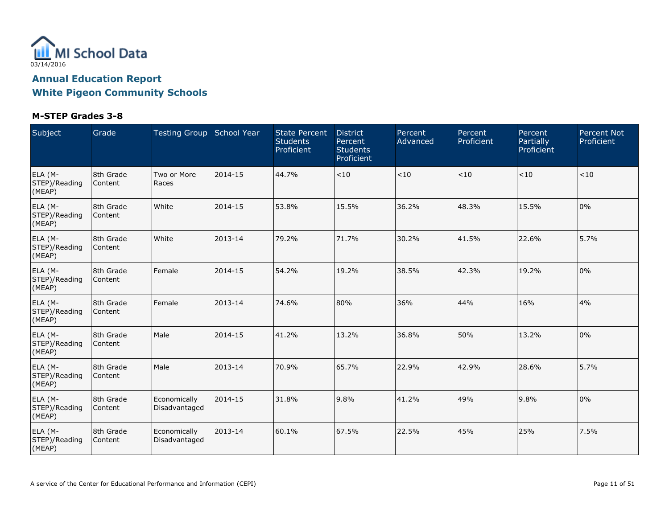

| Subject                            | Grade                | Testing Group School Year     |         | <b>State Percent</b><br><b>Students</b><br>Proficient | <b>District</b><br>Percent<br><b>Students</b><br>Proficient | Percent<br>Advanced | Percent<br>Proficient | Percent<br>Partially<br>Proficient | <b>Percent Not</b><br>Proficient |
|------------------------------------|----------------------|-------------------------------|---------|-------------------------------------------------------|-------------------------------------------------------------|---------------------|-----------------------|------------------------------------|----------------------------------|
| ELA (M-<br>STEP)/Reading<br>(MEAP) | 8th Grade<br>Content | Two or More<br>Races          | 2014-15 | 44.7%                                                 | $<\!10$                                                     | $<\!10$             | $<10$                 | < 10                               | < 10                             |
| ELA (M-<br>STEP)/Reading<br>(MEAP) | 8th Grade<br>Content | White                         | 2014-15 | 53.8%                                                 | 15.5%                                                       | 36.2%               | 48.3%                 | 15.5%                              | 0%                               |
| ELA (M-<br>STEP)/Reading<br>(MEAP) | 8th Grade<br>Content | White                         | 2013-14 | 79.2%                                                 | 71.7%                                                       | 30.2%               | 41.5%                 | 22.6%                              | 5.7%                             |
| ELA (M-<br>STEP)/Reading<br>(MEAP) | 8th Grade<br>Content | Female                        | 2014-15 | 54.2%                                                 | 19.2%                                                       | 38.5%               | 42.3%                 | 19.2%                              | 0%                               |
| ELA (M-<br>STEP)/Reading<br>(MEAP) | 8th Grade<br>Content | Female                        | 2013-14 | 74.6%                                                 | 80%                                                         | 36%                 | 44%                   | 16%                                | 4%                               |
| ELA (M-<br>STEP)/Reading<br>(MEAP) | 8th Grade<br>Content | Male                          | 2014-15 | 41.2%                                                 | 13.2%                                                       | 36.8%               | 50%                   | 13.2%                              | 0%                               |
| ELA (M-<br>STEP)/Reading<br>(MEAP) | 8th Grade<br>Content | Male                          | 2013-14 | 70.9%                                                 | 65.7%                                                       | 22.9%               | 42.9%                 | 28.6%                              | 5.7%                             |
| ELA (M-<br>STEP)/Reading<br>(MEAP) | 8th Grade<br>Content | Economically<br>Disadvantaged | 2014-15 | 31.8%                                                 | 9.8%                                                        | 41.2%               | 49%                   | 9.8%                               | 0%                               |
| ELA (M-<br>STEP)/Reading<br>(MEAP) | 8th Grade<br>Content | Economically<br>Disadvantaged | 2013-14 | 60.1%                                                 | 67.5%                                                       | 22.5%               | 45%                   | 25%                                | 7.5%                             |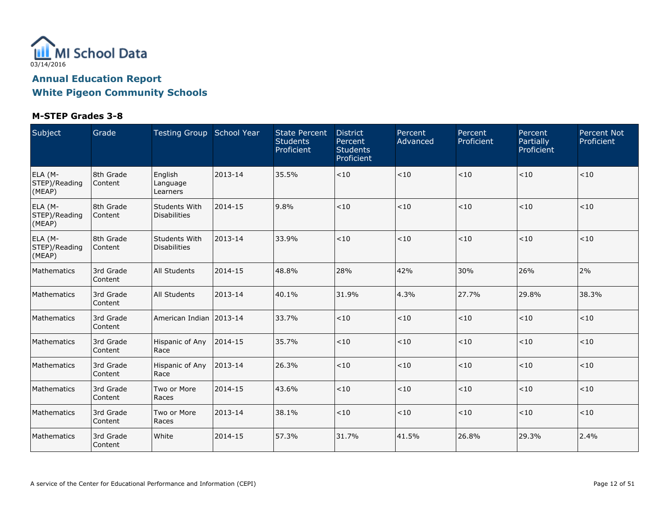

| Subject                            | Grade                | Testing Group School Year            |         | <b>State Percent</b><br><b>Students</b><br>Proficient | <b>District</b><br>Percent<br><b>Students</b><br>Proficient | Percent<br>Advanced | Percent<br>Proficient | Percent<br>Partially<br>Proficient | <b>Percent Not</b><br>Proficient |
|------------------------------------|----------------------|--------------------------------------|---------|-------------------------------------------------------|-------------------------------------------------------------|---------------------|-----------------------|------------------------------------|----------------------------------|
| ELA (M-<br>STEP)/Reading<br>(MEAP) | 8th Grade<br>Content | English<br>Language<br>Learners      | 2013-14 | 35.5%                                                 | $<10$                                                       | $<10$               | $<10$                 | < 10                               | $<10$                            |
| ELA (M-<br>STEP)/Reading<br>(MEAP) | 8th Grade<br>Content | Students With<br><b>Disabilities</b> | 2014-15 | 9.8%                                                  | $10^{-1}$                                                   | < 10                | < 10                  | < 10                               | < 10                             |
| ELA (M-<br>STEP)/Reading<br>(MEAP) | 8th Grade<br>Content | Students With<br><b>Disabilities</b> | 2013-14 | 33.9%                                                 | <10                                                         | ~10                 | <10                   | < 10                               | <10                              |
| Mathematics                        | 3rd Grade<br>Content | <b>All Students</b>                  | 2014-15 | 48.8%                                                 | 28%                                                         | 42%                 | 30%                   | 26%                                | 2%                               |
| Mathematics                        | 3rd Grade<br>Content | <b>All Students</b>                  | 2013-14 | 40.1%                                                 | 31.9%                                                       | 4.3%                | 27.7%                 | 29.8%                              | 38.3%                            |
| Mathematics                        | 3rd Grade<br>Content | American Indian 12013-14             |         | 33.7%                                                 | < 10                                                        | $<10$               | < 10                  | < 10                               | < 10                             |
| Mathematics                        | 3rd Grade<br>Content | Hispanic of Any<br>Race              | 2014-15 | 35.7%                                                 | $<10$                                                       | $<10$               | $<10$                 | < 10                               | < 10                             |
| Mathematics                        | 3rd Grade<br>Content | Hispanic of Any<br>Race              | 2013-14 | 26.3%                                                 | < 10                                                        | $<10$               | < 10                  | $<10$                              | < 10                             |
| Mathematics                        | 3rd Grade<br>Content | Two or More<br>Races                 | 2014-15 | 43.6%                                                 | < 10                                                        | < 10                | < 10                  | < 10                               | < 10                             |
| Mathematics                        | 3rd Grade<br>Content | Two or More<br>Races                 | 2013-14 | 38.1%                                                 | < 10                                                        | < 10                | < 10                  | < 10                               | < 10                             |
| Mathematics                        | 3rd Grade<br>Content | White                                | 2014-15 | 57.3%                                                 | 31.7%                                                       | 41.5%               | 26.8%                 | 29.3%                              | 2.4%                             |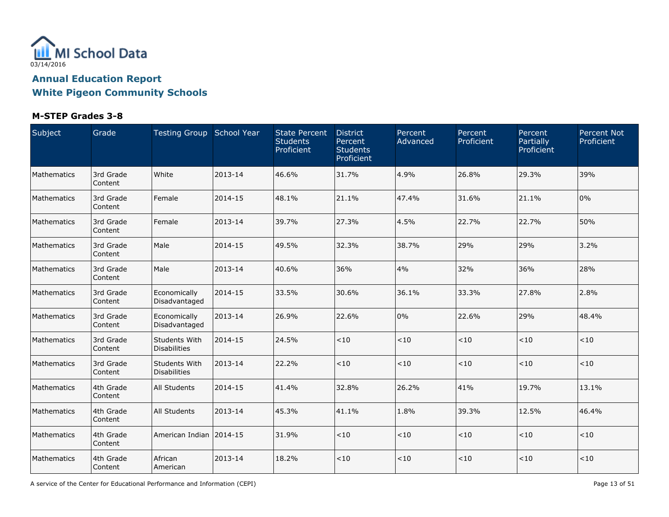

### **M-STEP Grades 3-8**

| Subject     | Grade                | Testing Group School Year            |         | <b>State Percent</b><br><b>Students</b><br>Proficient | <b>District</b><br>Percent<br><b>Students</b><br>Proficient | Percent<br>Advanced | Percent<br>Proficient | Percent<br>Partially<br>Proficient | <b>Percent Not</b><br>Proficient |
|-------------|----------------------|--------------------------------------|---------|-------------------------------------------------------|-------------------------------------------------------------|---------------------|-----------------------|------------------------------------|----------------------------------|
| Mathematics | 3rd Grade<br>Content | White                                | 2013-14 | 46.6%                                                 | 31.7%                                                       | 4.9%                | 26.8%                 | 29.3%                              | 39%                              |
| Mathematics | 3rd Grade<br>Content | Female                               | 2014-15 | 48.1%                                                 | 21.1%                                                       | 47.4%               | 31.6%                 | 21.1%                              | 0%                               |
| Mathematics | 3rd Grade<br>Content | Female                               | 2013-14 | 39.7%                                                 | 27.3%                                                       | 4.5%                | 22.7%                 | 22.7%                              | 50%                              |
| Mathematics | 3rd Grade<br>Content | Male                                 | 2014-15 | 49.5%                                                 | 32.3%                                                       | 38.7%               | 29%                   | 29%                                | 3.2%                             |
| Mathematics | 3rd Grade<br>Content | Male                                 | 2013-14 | 40.6%                                                 | 36%                                                         | 4%                  | 32%                   | 36%                                | 28%                              |
| Mathematics | 3rd Grade<br>Content | Economically<br>Disadvantaged        | 2014-15 | 33.5%                                                 | 30.6%                                                       | 36.1%               | 33.3%                 | 27.8%                              | 2.8%                             |
| Mathematics | 3rd Grade<br>Content | Economically<br>Disadvantaged        | 2013-14 | 26.9%                                                 | 22.6%                                                       | 0%                  | 22.6%                 | 29%                                | 48.4%                            |
| Mathematics | 3rd Grade<br>Content | Students With<br><b>Disabilities</b> | 2014-15 | 24.5%                                                 | < 10                                                        | < 10                | < 10                  | < 10                               | < 10                             |
| Mathematics | 3rd Grade<br>Content | Students With<br><b>Disabilities</b> | 2013-14 | 22.2%                                                 | < 10                                                        | $<10$               | < 10                  | $<10$                              | < 10                             |
| Mathematics | 4th Grade<br>Content | <b>All Students</b>                  | 2014-15 | 41.4%                                                 | 32.8%                                                       | 26.2%               | 41%                   | 19.7%                              | 13.1%                            |
| Mathematics | 4th Grade<br>Content | All Students                         | 2013-14 | 45.3%                                                 | 41.1%                                                       | 1.8%                | 39.3%                 | 12.5%                              | 46.4%                            |
| Mathematics | 4th Grade<br>Content | American Indian 2014-15              |         | 31.9%                                                 | <10                                                         | < 10                | $<10$                 | $<\!10$                            | < 10                             |
| Mathematics | 4th Grade<br>Content | African<br>American                  | 2013-14 | 18.2%                                                 | < 10                                                        | $<10$               | < 10                  | $<10$                              | $<10$                            |

A service of the Center for Educational Performance and Information (CEPI) **Page 13** of 51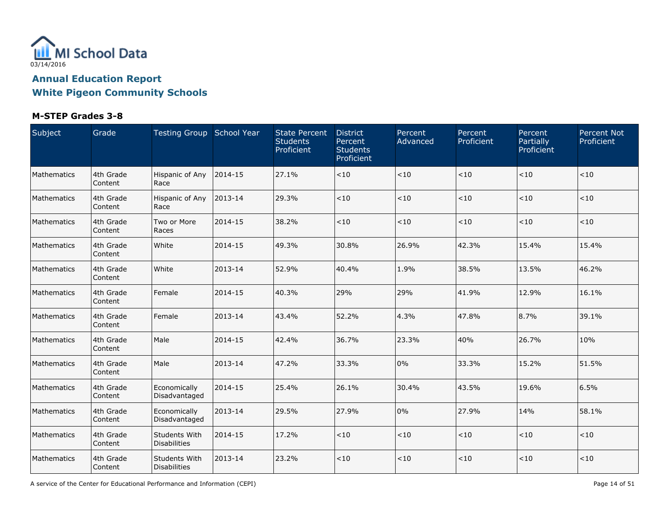

### **M-STEP Grades 3-8**

| Subject     | Grade                | Testing Group School Year            |         | <b>State Percent</b><br><b>Students</b><br>Proficient | <b>District</b><br>Percent<br><b>Students</b><br>Proficient | Percent<br>Advanced | Percent<br>Proficient | Percent<br>Partially<br>Proficient | <b>Percent Not</b><br>Proficient |
|-------------|----------------------|--------------------------------------|---------|-------------------------------------------------------|-------------------------------------------------------------|---------------------|-----------------------|------------------------------------|----------------------------------|
| Mathematics | 4th Grade<br>Content | Hispanic of Any<br>Race              | 2014-15 | 27.1%                                                 | < 10                                                        | $<\!10$             | < 10                  | < 10                               | < 10                             |
| Mathematics | 4th Grade<br>Content | Hispanic of Any<br>Race              | 2013-14 | 29.3%                                                 | < 10                                                        | $<\!10$             | $<\!10$               | < 10                               | < 10                             |
| Mathematics | 4th Grade<br>Content | Two or More<br>Races                 | 2014-15 | 38.2%                                                 | < 10                                                        | $<10$               | $<10$                 | < 10                               | < 10                             |
| Mathematics | 4th Grade<br>Content | White                                | 2014-15 | 49.3%                                                 | 30.8%                                                       | 26.9%               | 42.3%                 | 15.4%                              | 15.4%                            |
| Mathematics | 4th Grade<br>Content | White                                | 2013-14 | 52.9%                                                 | 40.4%                                                       | 1.9%                | 38.5%                 | 13.5%                              | 46.2%                            |
| Mathematics | 4th Grade<br>Content | l Female                             | 2014-15 | 40.3%                                                 | 29%                                                         | 29%                 | 41.9%                 | 12.9%                              | 16.1%                            |
| Mathematics | 4th Grade<br>Content | Female                               | 2013-14 | 43.4%                                                 | 52.2%                                                       | 4.3%                | 47.8%                 | 8.7%                               | 39.1%                            |
| Mathematics | 4th Grade<br>Content | Male                                 | 2014-15 | 42.4%                                                 | 36.7%                                                       | 23.3%               | 40%                   | 26.7%                              | 10%                              |
| Mathematics | 4th Grade<br>Content | Male                                 | 2013-14 | 47.2%                                                 | 33.3%                                                       | 0%                  | 33.3%                 | 15.2%                              | 51.5%                            |
| Mathematics | 4th Grade<br>Content | Economically<br>Disadvantaged        | 2014-15 | 25.4%                                                 | 26.1%                                                       | 30.4%               | 43.5%                 | 19.6%                              | 6.5%                             |
| Mathematics | 4th Grade<br>Content | Economically<br>Disadvantaged        | 2013-14 | 29.5%                                                 | 27.9%                                                       | 0%                  | 27.9%                 | 14%                                | 58.1%                            |
| Mathematics | 4th Grade<br>Content | Students With<br>Disabilities        | 2014-15 | 17.2%                                                 | < 10                                                        | $<\!10$             | $<\!10$               | < 10                               | < 10                             |
| Mathematics | 4th Grade<br>Content | <b>Students With</b><br>Disabilities | 2013-14 | 23.2%                                                 | < 10                                                        | $<\!10$             | $<10$                 | < 10                               | < 10                             |

A service of the Center for Educational Performance and Information (CEPI) Page 14 of 51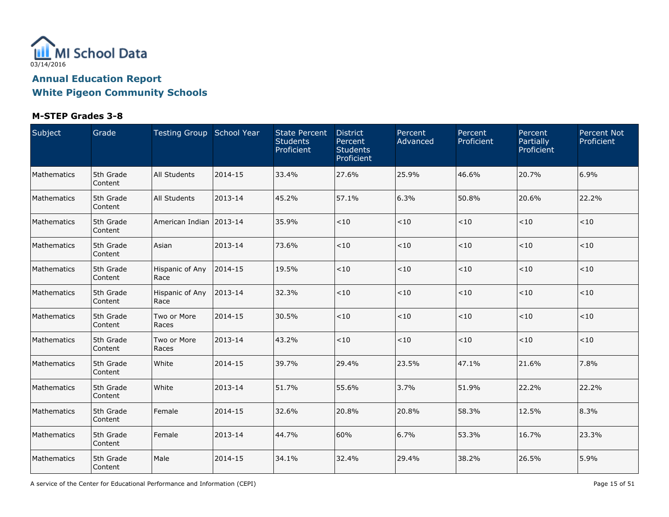

### **M-STEP Grades 3-8**

| Subject     | Grade                | Testing Group School Year |         | <b>State Percent</b><br><b>Students</b><br>Proficient | <b>District</b><br>Percent<br><b>Students</b><br>Proficient | Percent<br>Advanced | Percent<br>Proficient | Percent<br>Partially<br>Proficient | <b>Percent Not</b><br>Proficient |
|-------------|----------------------|---------------------------|---------|-------------------------------------------------------|-------------------------------------------------------------|---------------------|-----------------------|------------------------------------|----------------------------------|
| Mathematics | 5th Grade<br>Content | All Students              | 2014-15 | 33.4%                                                 | 27.6%                                                       | 25.9%               | 46.6%                 | 20.7%                              | 6.9%                             |
| Mathematics | 5th Grade<br>Content | All Students              | 2013-14 | 45.2%                                                 | 57.1%                                                       | 6.3%                | 50.8%                 | 20.6%                              | 22.2%                            |
| Mathematics | 5th Grade<br>Content | American Indian   2013-14 |         | 35.9%                                                 | $<10$                                                       | $<10$               | $<10$                 | < 10                               | < 10                             |
| Mathematics | 5th Grade<br>Content | Asian                     | 2013-14 | 73.6%                                                 | $<10$                                                       | $<10$               | $<10$                 | < 10                               | < 10                             |
| Mathematics | 5th Grade<br>Content | Hispanic of Any<br>Race   | 2014-15 | 19.5%                                                 | < 10                                                        | $<10$               | $<10$                 | < 10                               | < 10                             |
| Mathematics | 5th Grade<br>Content | Hispanic of Any<br>Race   | 2013-14 | 32.3%                                                 | $<10$                                                       | ~10                 | < 10                  | < 10                               | < 10                             |
| Mathematics | 5th Grade<br>Content | Two or More<br>Races      | 2014-15 | 30.5%                                                 | < 10                                                        | $<10$               | $<10$                 | $<10$                              | < 10                             |
| Mathematics | 5th Grade<br>Content | Two or More<br>Races      | 2013-14 | 43.2%                                                 | < 10                                                        | < 10                | < 10                  | < 10                               | < 10                             |
| Mathematics | 5th Grade<br>Content | White                     | 2014-15 | 39.7%                                                 | 29.4%                                                       | 23.5%               | 47.1%                 | 21.6%                              | 7.8%                             |
| Mathematics | 5th Grade<br>Content | White                     | 2013-14 | 51.7%                                                 | 55.6%                                                       | 3.7%                | 51.9%                 | 22.2%                              | 22.2%                            |
| Mathematics | 5th Grade<br>Content | Female                    | 2014-15 | 32.6%                                                 | 20.8%                                                       | 20.8%               | 58.3%                 | 12.5%                              | 8.3%                             |
| Mathematics | 5th Grade<br>Content | Female                    | 2013-14 | 44.7%                                                 | 60%                                                         | 6.7%                | 53.3%                 | 16.7%                              | 23.3%                            |
| Mathematics | 5th Grade<br>Content | Male                      | 2014-15 | 34.1%                                                 | 32.4%                                                       | 29.4%               | 38.2%                 | 26.5%                              | 5.9%                             |

A service of the Center for Educational Performance and Information (CEPI) **Page 15** of 51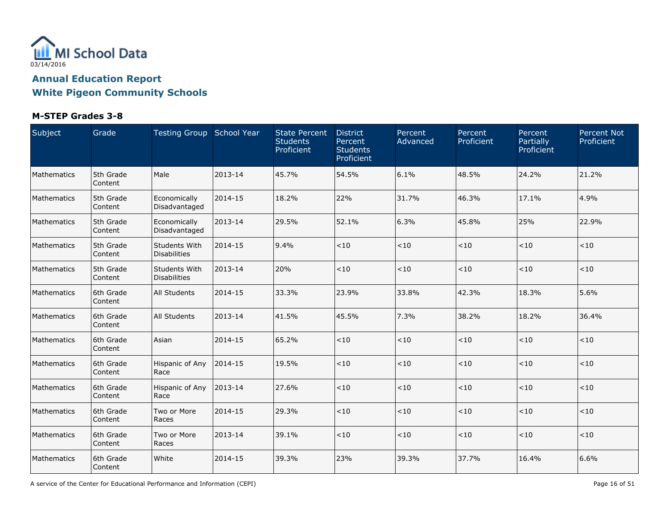

### **M-STEP Grades 3-8**

| Subject     | Grade                | Testing Group School Year            |         | <b>State Percent</b><br><b>Students</b><br>Proficient | <b>District</b><br>Percent<br><b>Students</b><br>Proficient | Percent<br>Advanced | Percent<br>Proficient | Percent<br>Partially<br>Proficient | <b>Percent Not</b><br>Proficient |
|-------------|----------------------|--------------------------------------|---------|-------------------------------------------------------|-------------------------------------------------------------|---------------------|-----------------------|------------------------------------|----------------------------------|
| Mathematics | 5th Grade<br>Content | Male                                 | 2013-14 | 45.7%                                                 | 54.5%                                                       | 6.1%                | 48.5%                 | 24.2%                              | 21.2%                            |
| Mathematics | 5th Grade<br>Content | Economically<br>Disadvantaged        | 2014-15 | 18.2%                                                 | 22%                                                         | 31.7%               | 46.3%                 | 17.1%                              | 4.9%                             |
| Mathematics | 5th Grade<br>Content | Economically<br>Disadvantaged        | 2013-14 | 29.5%                                                 | 52.1%                                                       | 6.3%                | 45.8%                 | 25%                                | 22.9%                            |
| Mathematics | 5th Grade<br>Content | Students With<br>Disabilities        | 2014-15 | 9.4%                                                  | < 10                                                        | $<10$               | $<10$                 | < 10                               | < 10                             |
| Mathematics | 5th Grade<br>Content | Students With<br><b>Disabilities</b> | 2013-14 | 20%                                                   | < 10                                                        | ~10                 | < 10                  | ~10                                | < 10                             |
| Mathematics | 6th Grade<br>Content | All Students                         | 2014-15 | 33.3%                                                 | 23.9%                                                       | 33.8%               | 42.3%                 | 18.3%                              | 5.6%                             |
| Mathematics | 6th Grade<br>Content | All Students                         | 2013-14 | 41.5%                                                 | 45.5%                                                       | 7.3%                | 38.2%                 | 18.2%                              | 36.4%                            |
| Mathematics | 6th Grade<br>Content | Asian                                | 2014-15 | 65.2%                                                 | < 10                                                        | $<10$               | $<10$                 | $<10$                              | < 10                             |
| Mathematics | 6th Grade<br>Content | Hispanic of Any<br>Race              | 2014-15 | 19.5%                                                 | < 10                                                        | $<10$               | $<10$                 | < 10                               | < 10                             |
| Mathematics | 6th Grade<br>Content | Hispanic of Any<br>Race              | 2013-14 | 27.6%                                                 | < 10                                                        | $<10$               | $<10$                 | ~10                                | < 10                             |
| Mathematics | 6th Grade<br>Content | Two or More<br>Races                 | 2014-15 | 29.3%                                                 | < 10                                                        | $<10$               | $<10$                 | ~10                                | < 10                             |
| Mathematics | 6th Grade<br>Content | Two or More<br>Races                 | 2013-14 | 39.1%                                                 | < 10                                                        | $<\!10$             | $<10$                 | < 10                               | < 10                             |
| Mathematics | 6th Grade<br>Content | White                                | 2014-15 | 39.3%                                                 | 23%                                                         | 39.3%               | 37.7%                 | 16.4%                              | 6.6%                             |

A service of the Center for Educational Performance and Information (CEPI) **Page 16** of 51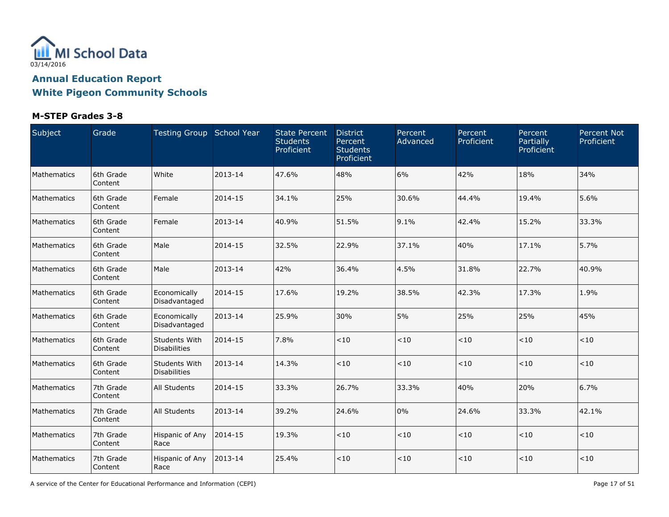

### **M-STEP Grades 3-8**

| Subject     | Grade                | Testing Group School Year            |         | <b>State Percent</b><br><b>Students</b><br>Proficient | <b>District</b><br>Percent<br><b>Students</b><br>Proficient | Percent<br>Advanced | Percent<br>Proficient | Percent<br>Partially<br>Proficient | <b>Percent Not</b><br>Proficient |
|-------------|----------------------|--------------------------------------|---------|-------------------------------------------------------|-------------------------------------------------------------|---------------------|-----------------------|------------------------------------|----------------------------------|
| Mathematics | 6th Grade<br>Content | White                                | 2013-14 | 47.6%                                                 | 48%                                                         | 6%                  | 42%                   | 18%                                | 34%                              |
| Mathematics | 6th Grade<br>Content | Female                               | 2014-15 | 34.1%                                                 | 25%                                                         | 30.6%               | 44.4%                 | 19.4%                              | 5.6%                             |
| Mathematics | 6th Grade<br>Content | Female                               | 2013-14 | 40.9%                                                 | 51.5%                                                       | 9.1%                | 42.4%                 | 15.2%                              | 33.3%                            |
| Mathematics | 6th Grade<br>Content | Male                                 | 2014-15 | 32.5%                                                 | 22.9%                                                       | 37.1%               | 40%                   | 17.1%                              | 5.7%                             |
| Mathematics | 6th Grade<br>Content | Male                                 | 2013-14 | 42%                                                   | 36.4%                                                       | 4.5%                | 31.8%                 | 22.7%                              | 40.9%                            |
| Mathematics | 6th Grade<br>Content | Economically<br>Disadvantaged        | 2014-15 | 17.6%                                                 | 19.2%                                                       | 38.5%               | 42.3%                 | 17.3%                              | 1.9%                             |
| Mathematics | 6th Grade<br>Content | Economically<br>Disadvantaged        | 2013-14 | 25.9%                                                 | 30%                                                         | 5%                  | 25%                   | 25%                                | 45%                              |
| Mathematics | 6th Grade<br>Content | Students With<br><b>Disabilities</b> | 2014-15 | 7.8%                                                  | < 10                                                        | $<10$               | $<10$                 | $<\!10$                            | $<10$                            |
| Mathematics | 6th Grade<br>Content | Students With<br><b>Disabilities</b> | 2013-14 | 14.3%                                                 | < 10                                                        | < 10                | < 10                  | $<10$                              | < 10                             |
| Mathematics | 7th Grade<br>Content | <b>All Students</b>                  | 2014-15 | 33.3%                                                 | 26.7%                                                       | 33.3%               | 40%                   | 20%                                | 6.7%                             |
| Mathematics | 7th Grade<br>Content | <b>All Students</b>                  | 2013-14 | 39.2%                                                 | 24.6%                                                       | 0%                  | 24.6%                 | 33.3%                              | 42.1%                            |
| Mathematics | 7th Grade<br>Content | Hispanic of Any<br>Race              | 2014-15 | 19.3%                                                 | < 10                                                        | $<10$               | $<10$                 | ~10                                | < 10                             |
| Mathematics | 7th Grade<br>Content | Hispanic of Any<br>Race              | 2013-14 | 25.4%                                                 | < 10                                                        | < 10                | < 10                  | < 10                               | < 10                             |

A service of the Center for Educational Performance and Information (CEPI) And Society and Society and Society Page 17 of 51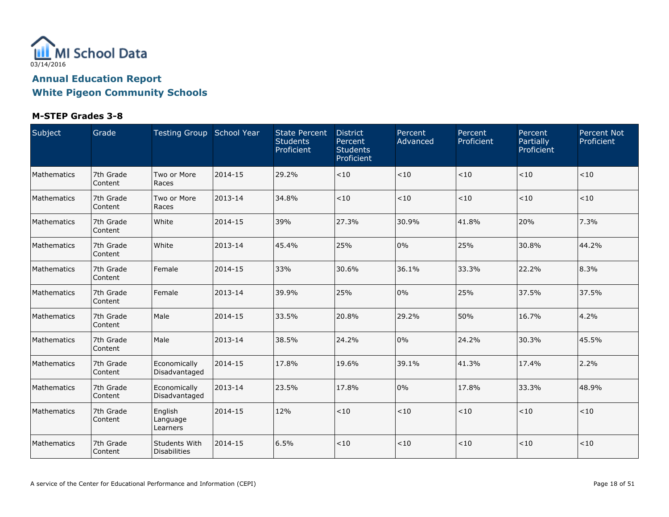

| Subject     | Grade                | Testing Group School Year       |         | <b>State Percent</b><br><b>Students</b><br>Proficient | <b>District</b><br>Percent<br><b>Students</b><br>Proficient | Percent<br>Advanced | Percent<br>Proficient | Percent<br>Partially<br>Proficient | <b>Percent Not</b><br>Proficient |
|-------------|----------------------|---------------------------------|---------|-------------------------------------------------------|-------------------------------------------------------------|---------------------|-----------------------|------------------------------------|----------------------------------|
| Mathematics | 7th Grade<br>Content | Two or More<br>Races            | 2014-15 | 29.2%                                                 | $<10$                                                       | < 10                | < 10                  | < 10                               | $<10$                            |
| Mathematics | 7th Grade<br>Content | Two or More<br>Races            | 2013-14 | 34.8%                                                 | < 10                                                        | < 10                | < 10                  | < 10                               | < 10                             |
| Mathematics | 7th Grade<br>Content | White                           | 2014-15 | 39%                                                   | 27.3%                                                       | 30.9%               | 41.8%                 | 20%                                | 7.3%                             |
| Mathematics | 7th Grade<br>Content | White                           | 2013-14 | 45.4%                                                 | 25%                                                         | 0%                  | 25%                   | 30.8%                              | 44.2%                            |
| Mathematics | 7th Grade<br>Content | l Female                        | 2014-15 | 33%                                                   | 30.6%                                                       | 36.1%               | 33.3%                 | 22.2%                              | 8.3%                             |
| Mathematics | 7th Grade<br>Content | l Female                        | 2013-14 | 39.9%                                                 | 25%                                                         | 0%                  | 25%                   | 37.5%                              | 37.5%                            |
| Mathematics | 7th Grade<br>Content | Male                            | 2014-15 | 33.5%                                                 | 20.8%                                                       | 29.2%               | 50%                   | 16.7%                              | 4.2%                             |
| Mathematics | 7th Grade<br>Content | Male                            | 2013-14 | 38.5%                                                 | 24.2%                                                       | 0%                  | 24.2%                 | 30.3%                              | 45.5%                            |
| Mathematics | 7th Grade<br>Content | Economically<br>Disadvantaged   | 2014-15 | 17.8%                                                 | 19.6%                                                       | 39.1%               | 41.3%                 | 17.4%                              | 2.2%                             |
| Mathematics | 7th Grade<br>Content | Economically<br>Disadvantaged   | 2013-14 | 23.5%                                                 | 17.8%                                                       | $0\%$               | 17.8%                 | 33.3%                              | 48.9%                            |
| Mathematics | 7th Grade<br>Content | English<br>Language<br>Learners | 2014-15 | 12%                                                   | < 10                                                        | < 10                | $<10$                 | < 10                               | $<10$                            |
| Mathematics | 7th Grade<br>Content | Students With<br>Disabilities   | 2014-15 | 6.5%                                                  | < 10                                                        | $<10$               | < 10                  | < 10                               | < 10                             |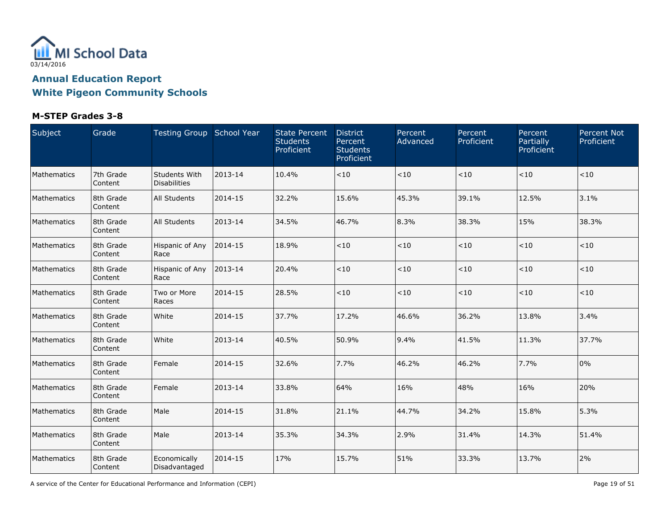

### **M-STEP Grades 3-8**

| Subject     | Grade                | Testing Group School Year            |         | <b>State Percent</b><br><b>Students</b><br>Proficient | <b>District</b><br>Percent<br><b>Students</b><br>Proficient | Percent<br>Advanced | Percent<br>Proficient | Percent<br>Partially<br>Proficient | <b>Percent Not</b><br>Proficient |
|-------------|----------------------|--------------------------------------|---------|-------------------------------------------------------|-------------------------------------------------------------|---------------------|-----------------------|------------------------------------|----------------------------------|
| Mathematics | 7th Grade<br>Content | Students With<br><b>Disabilities</b> | 2013-14 | 10.4%                                                 | < 10                                                        | $<\!10$             | < 10                  | < 10                               | < 10                             |
| Mathematics | 8th Grade<br>Content | All Students                         | 2014-15 | 32.2%                                                 | 15.6%                                                       | 45.3%               | 39.1%                 | 12.5%                              | 3.1%                             |
| Mathematics | 8th Grade<br>Content | <b>All Students</b>                  | 2013-14 | 34.5%                                                 | 46.7%                                                       | 8.3%                | 38.3%                 | 15%                                | 38.3%                            |
| Mathematics | 8th Grade<br>Content | Hispanic of Any<br>Race              | 2014-15 | 18.9%                                                 | $<10$                                                       | $<10$               | $<10$                 | < 10                               | < 10                             |
| Mathematics | 8th Grade<br>Content | Hispanic of Any<br>Race              | 2013-14 | 20.4%                                                 | < 10                                                        | $<10$               | ~10                   | < 10                               | < 10                             |
| Mathematics | 8th Grade<br>Content | Two or More<br>Races                 | 2014-15 | 28.5%                                                 | < 10                                                        | $<10$               | < 10                  | < 10                               | < 10                             |
| Mathematics | 8th Grade<br>Content | White                                | 2014-15 | 37.7%                                                 | 17.2%                                                       | 46.6%               | 36.2%                 | 13.8%                              | 3.4%                             |
| Mathematics | 8th Grade<br>Content | White                                | 2013-14 | 40.5%                                                 | 50.9%                                                       | 9.4%                | 41.5%                 | 11.3%                              | 37.7%                            |
| Mathematics | 8th Grade<br>Content | Female                               | 2014-15 | 32.6%                                                 | 7.7%                                                        | 46.2%               | 46.2%                 | 7.7%                               | 0%                               |
| Mathematics | 8th Grade<br>Content | Female                               | 2013-14 | 33.8%                                                 | 64%                                                         | 16%                 | 48%                   | 16%                                | 20%                              |
| Mathematics | 8th Grade<br>Content | Male                                 | 2014-15 | 31.8%                                                 | 21.1%                                                       | 44.7%               | 34.2%                 | 15.8%                              | 5.3%                             |
| Mathematics | 8th Grade<br>Content | Male                                 | 2013-14 | 35.3%                                                 | 34.3%                                                       | 2.9%                | 31.4%                 | 14.3%                              | 51.4%                            |
| Mathematics | 8th Grade<br>Content | Economically<br>Disadvantaged        | 2014-15 | 17%                                                   | 15.7%                                                       | 51%                 | 33.3%                 | 13.7%                              | 2%                               |

A service of the Center for Educational Performance and Information (CEPI) **Page 19** of 51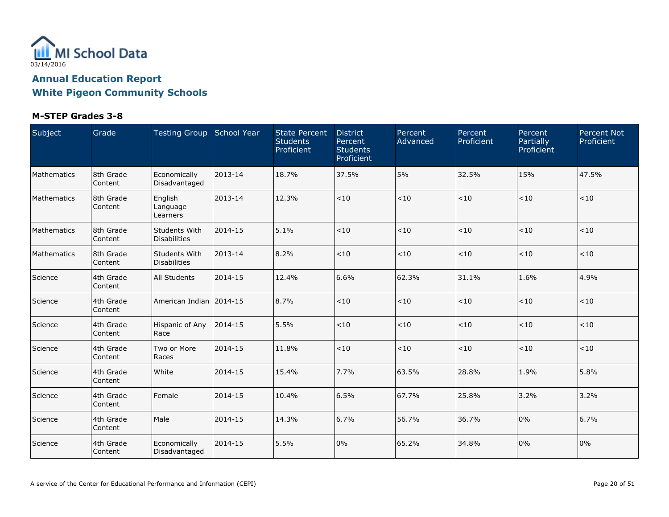

| Subject     | Grade                | Testing Group School Year       |         | <b>State Percent</b><br><b>Students</b><br>Proficient | <b>District</b><br>Percent<br><b>Students</b><br>Proficient | Percent<br>Advanced | Percent<br>Proficient | Percent<br>Partially<br>Proficient | <b>Percent Not</b><br>Proficient |
|-------------|----------------------|---------------------------------|---------|-------------------------------------------------------|-------------------------------------------------------------|---------------------|-----------------------|------------------------------------|----------------------------------|
| Mathematics | 8th Grade<br>Content | Economically<br>Disadvantaged   | 2013-14 | 18.7%                                                 | 37.5%                                                       | 5%                  | 32.5%                 | 15%                                | 47.5%                            |
| Mathematics | 8th Grade<br>Content | English<br>Language<br>Learners | 2013-14 | 12.3%                                                 | < 10                                                        | < 10                | < 10                  | < 10                               | < 10                             |
| Mathematics | 8th Grade<br>Content | Students With<br>Disabilities   | 2014-15 | 5.1%                                                  | < 10                                                        | < 10                | < 10                  | $<10$                              | < 10                             |
| Mathematics | 8th Grade<br>Content | Students With<br>Disabilities   | 2013-14 | 8.2%                                                  | < 10                                                        | < 10                | < 10                  | $<$ 10                             | $<10$                            |
| Science     | 4th Grade<br>Content | All Students                    | 2014-15 | 12.4%                                                 | 6.6%                                                        | 62.3%               | 31.1%                 | 1.6%                               | 4.9%                             |
| Science     | 4th Grade<br>Content | American Indian                 | 2014-15 | 8.7%                                                  | < 10                                                        | < 10                | < 10                  | $<10$                              | $<\!10$                          |
| Science     | 4th Grade<br>Content | Hispanic of Any<br>Race         | 2014-15 | 5.5%                                                  | < 10                                                        | < 10                | < 10                  | $<$ 10                             | < 10                             |
| Science     | 4th Grade<br>Content | Two or More<br>Races            | 2014-15 | 11.8%                                                 | < 10                                                        | $<10$               | < 10                  | < 10                               | <10                              |
| Science     | 4th Grade<br>Content | White                           | 2014-15 | 15.4%                                                 | 7.7%                                                        | 63.5%               | 28.8%                 | 1.9%                               | 5.8%                             |
| Science     | 4th Grade<br>Content | l Female                        | 2014-15 | 10.4%                                                 | 6.5%                                                        | 67.7%               | 25.8%                 | 3.2%                               | 3.2%                             |
| Science     | 4th Grade<br>Content | Male                            | 2014-15 | 14.3%                                                 | 6.7%                                                        | 56.7%               | 36.7%                 | 0%                                 | 6.7%                             |
| Science     | 4th Grade<br>Content | Economically<br>Disadvantaged   | 2014-15 | 5.5%                                                  | 0%                                                          | 65.2%               | 34.8%                 | 0%                                 | 0%                               |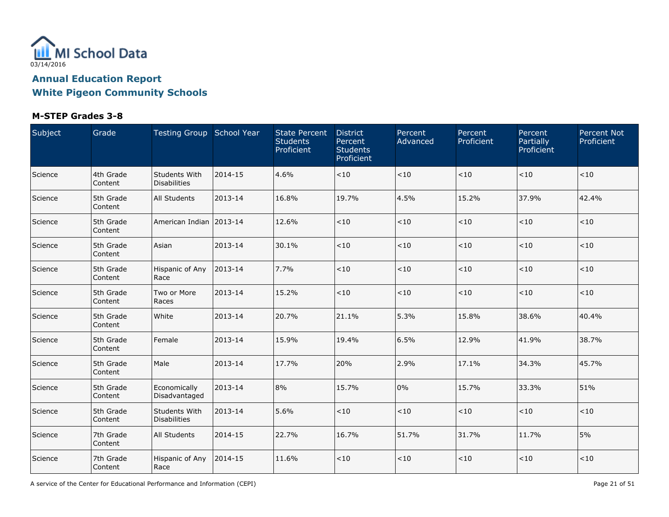

### **M-STEP Grades 3-8**

| Subject | Grade                | Testing Group School Year            |         | <b>State Percent</b><br><b>Students</b><br>Proficient | <b>District</b><br>Percent<br><b>Students</b><br>Proficient | Percent<br>Advanced | Percent<br>Proficient | Percent<br>Partially<br>Proficient | <b>Percent Not</b><br>Proficient |
|---------|----------------------|--------------------------------------|---------|-------------------------------------------------------|-------------------------------------------------------------|---------------------|-----------------------|------------------------------------|----------------------------------|
| Science | 4th Grade<br>Content | Students With<br><b>Disabilities</b> | 2014-15 | 4.6%                                                  | < 10                                                        | $<10$               | < 10                  | $<10$                              | < 10                             |
| Science | 5th Grade<br>Content | All Students                         | 2013-14 | 16.8%                                                 | 19.7%                                                       | 4.5%                | 15.2%                 | 37.9%                              | 42.4%                            |
| Science | 5th Grade<br>Content | American Indian   2013-14            |         | 12.6%                                                 | $<10$                                                       | $<10$               | $<10$                 | $<10$                              | < 10                             |
| Science | 5th Grade<br>Content | Asian                                | 2013-14 | 30.1%                                                 | < 10                                                        | $<10$               | $<10$                 | ~10                                | < 10                             |
| Science | 5th Grade<br>Content | Hispanic of Any<br>Race              | 2013-14 | 7.7%                                                  | <10                                                         | < 10                | $<10$                 | < 10                               | < 10                             |
| Science | 5th Grade<br>Content | Two or More<br>Races                 | 2013-14 | 15.2%                                                 | < 10                                                        | < 10                | < 10                  | < 10                               | < 10                             |
| Science | 5th Grade<br>Content | White                                | 2013-14 | 20.7%                                                 | 21.1%                                                       | 5.3%                | 15.8%                 | 38.6%                              | 40.4%                            |
| Science | 5th Grade<br>Content | Female                               | 2013-14 | 15.9%                                                 | 19.4%                                                       | 6.5%                | 12.9%                 | 41.9%                              | 38.7%                            |
| Science | 5th Grade<br>Content | Male                                 | 2013-14 | 17.7%                                                 | 20%                                                         | 2.9%                | 17.1%                 | 34.3%                              | 45.7%                            |
| Science | 5th Grade<br>Content | Economically<br>Disadvantaged        | 2013-14 | 8%                                                    | 15.7%                                                       | 0%                  | 15.7%                 | 33.3%                              | 51%                              |
| Science | 5th Grade<br>Content | Students With<br><b>Disabilities</b> | 2013-14 | 5.6%                                                  | < 10                                                        | $<\!10$             | < 10                  | ~10                                | < 10                             |
| Science | 7th Grade<br>Content | <b>All Students</b>                  | 2014-15 | 22.7%                                                 | 16.7%                                                       | 51.7%               | 31.7%                 | 11.7%                              | 5%                               |
| Science | 7th Grade<br>Content | Hispanic of Any<br>Race              | 2014-15 | 11.6%                                                 | < 10                                                        | $<10$               | $<10$                 | < 10                               | < 10                             |

A service of the Center for Educational Performance and Information (CEPI) **Page 21 of 51** Page 21 of 51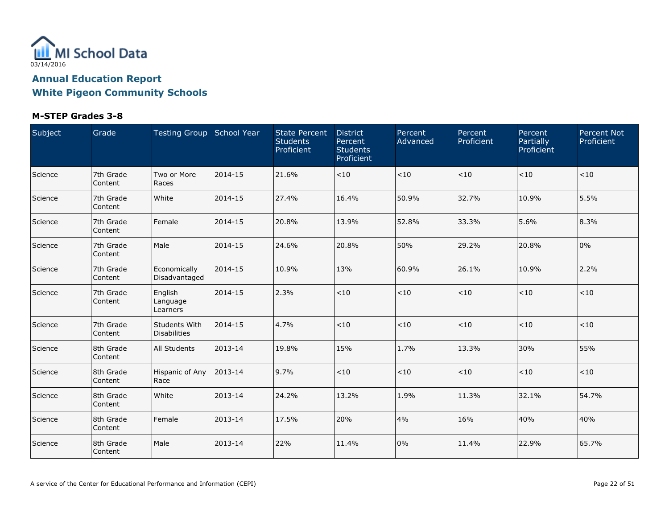

| Subject | Grade                | Testing Group School Year            |         | <b>State Percent</b><br><b>Students</b><br>Proficient | <b>District</b><br>Percent<br><b>Students</b><br>Proficient | Percent<br>Advanced | Percent<br>Proficient | Percent<br>Partially<br>Proficient | <b>Percent Not</b><br>Proficient |
|---------|----------------------|--------------------------------------|---------|-------------------------------------------------------|-------------------------------------------------------------|---------------------|-----------------------|------------------------------------|----------------------------------|
| Science | 7th Grade<br>Content | Two or More<br>Races                 | 2014-15 | 21.6%                                                 | < 10                                                        | $<10$               | ~10                   | < 10                               | < 10                             |
| Science | 7th Grade<br>Content | White                                | 2014-15 | 27.4%                                                 | 16.4%                                                       | 50.9%               | 32.7%                 | 10.9%                              | 5.5%                             |
| Science | 7th Grade<br>Content | Female                               | 2014-15 | 20.8%                                                 | 13.9%                                                       | 52.8%               | 33.3%                 | 5.6%                               | 8.3%                             |
| Science | 7th Grade<br>Content | Male                                 | 2014-15 | 24.6%                                                 | 20.8%                                                       | 50%                 | 29.2%                 | 20.8%                              | 0%                               |
| Science | 7th Grade<br>Content | Economically<br>Disadvantaged        | 2014-15 | 10.9%                                                 | 13%                                                         | 60.9%               | 26.1%                 | 10.9%                              | 2.2%                             |
| Science | 7th Grade<br>Content | English<br>Language<br>Learners      | 2014-15 | 2.3%                                                  | < 10                                                        | < 10                | < 10                  | < 10                               | < 10                             |
| Science | 7th Grade<br>Content | Students With<br><b>Disabilities</b> | 2014-15 | 4.7%                                                  | $<10$                                                       | $<10$               | ~10                   | < 10                               | < 10                             |
| Science | 8th Grade<br>Content | All Students                         | 2013-14 | 19.8%                                                 | 15%                                                         | 1.7%                | 13.3%                 | 30%                                | 55%                              |
| Science | 8th Grade<br>Content | Hispanic of Any<br>Race              | 2013-14 | 9.7%                                                  | < 10                                                        | $<\!10$             | < 10                  | < 10                               | < 10                             |
| Science | 8th Grade<br>Content | White                                | 2013-14 | 24.2%                                                 | 13.2%                                                       | 1.9%                | 11.3%                 | 32.1%                              | 54.7%                            |
| Science | 8th Grade<br>Content | Female                               | 2013-14 | 17.5%                                                 | 20%                                                         | 4%                  | 16%                   | 40%                                | 40%                              |
| Science | 8th Grade<br>Content | Male                                 | 2013-14 | 22%                                                   | 11.4%                                                       | 0%                  | 11.4%                 | 22.9%                              | 65.7%                            |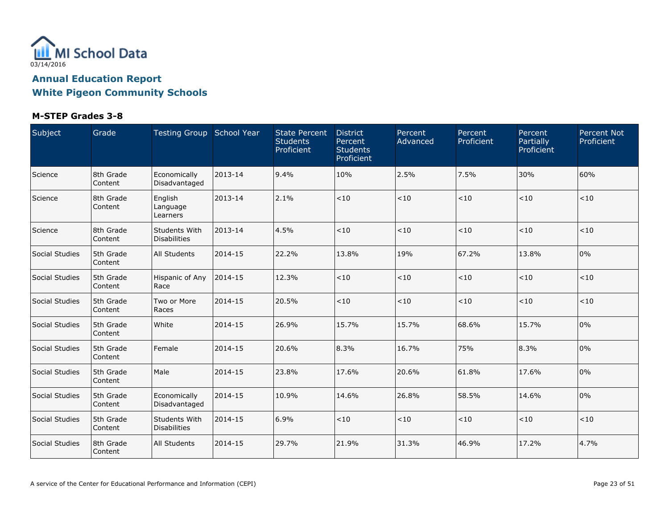

| Subject        | Grade                | Testing Group School Year            |         | <b>State Percent</b><br><b>Students</b><br>Proficient | <b>District</b><br>Percent<br><b>Students</b><br>Proficient | Percent<br>Advanced | Percent<br>Proficient | Percent<br>Partially<br>Proficient | <b>Percent Not</b><br>Proficient |
|----------------|----------------------|--------------------------------------|---------|-------------------------------------------------------|-------------------------------------------------------------|---------------------|-----------------------|------------------------------------|----------------------------------|
| Science        | 8th Grade<br>Content | Economically<br>Disadvantaged        | 2013-14 | 9.4%                                                  | 10%                                                         | 2.5%                | 7.5%                  | 30%                                | 60%                              |
| Science        | 8th Grade<br>Content | English<br>Language<br>Learners      | 2013-14 | 2.1%                                                  | < 10                                                        | < 10                | < 10                  | < 10                               | < 10                             |
| Science        | 8th Grade<br>Content | Students With<br>Disabilities        | 2013-14 | 4.5%                                                  | < 10                                                        | < 10                | < 10                  | $<$ 10                             | $<10$                            |
| Social Studies | 5th Grade<br>Content | All Students                         | 2014-15 | 22.2%                                                 | 13.8%                                                       | 19%                 | 67.2%                 | 13.8%                              | 0%                               |
| Social Studies | 5th Grade<br>Content | Hispanic of Any<br>Race              | 2014-15 | 12.3%                                                 | < 10                                                        | < 10                | < 10                  | < 10                               | < 10                             |
| Social Studies | 5th Grade<br>Content | Two or More<br>Races                 | 2014-15 | 20.5%                                                 | < 10                                                        | < 10                | < 10                  | $<$ 10                             | < 10                             |
| Social Studies | 5th Grade<br>Content | White                                | 2014-15 | 26.9%                                                 | 15.7%                                                       | 15.7%               | 68.6%                 | 15.7%                              | 0%                               |
| Social Studies | 5th Grade<br>Content | l Female                             | 2014-15 | 20.6%                                                 | 8.3%                                                        | 16.7%               | 75%                   | 8.3%                               | 0%                               |
| Social Studies | 5th Grade<br>Content | Male                                 | 2014-15 | 23.8%                                                 | 17.6%                                                       | 20.6%               | 61.8%                 | 17.6%                              | 0%                               |
| Social Studies | 5th Grade<br>Content | Economically<br>Disadvantaged        | 2014-15 | 10.9%                                                 | 14.6%                                                       | 26.8%               | 58.5%                 | 14.6%                              | 0%                               |
| Social Studies | 5th Grade<br>Content | Students With<br><b>Disabilities</b> | 2014-15 | 6.9%                                                  | < 10                                                        | $<10$               | < 10                  | $<10$                              | < 10                             |
| Social Studies | 8th Grade<br>Content | <b>All Students</b>                  | 2014-15 | 29.7%                                                 | 21.9%                                                       | 31.3%               | 46.9%                 | 17.2%                              | 4.7%                             |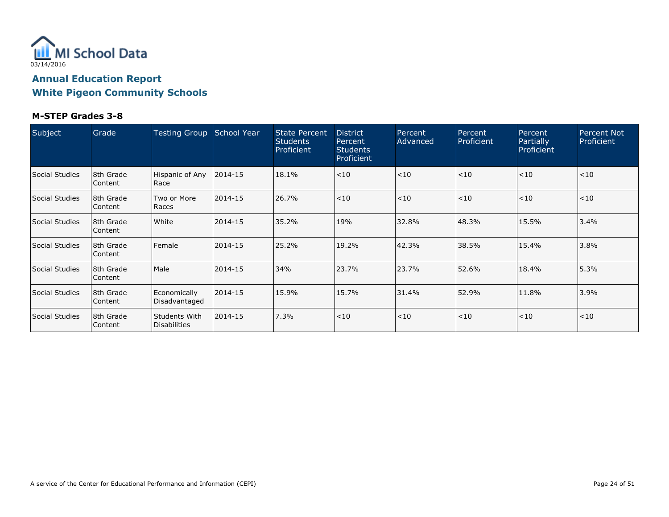

| Subject        | Grade                  | Testing Group                        | School Year | <b>State Percent</b><br><b>Students</b><br>Proficient | <b>District</b><br>Percent<br><b>Students</b><br>Proficient | Percent<br>Advanced | Percent<br>Proficient | Percent<br>Partially<br>Proficient | <b>Percent Not</b><br>Proficient |
|----------------|------------------------|--------------------------------------|-------------|-------------------------------------------------------|-------------------------------------------------------------|---------------------|-----------------------|------------------------------------|----------------------------------|
| Social Studies | 18th Grade<br> Content | Hispanic of Any<br>Race              | 2014-15     | 18.1%                                                 | < 10                                                        | < 10                | < 10                  | < 10                               | < 10                             |
| Social Studies | 18th Grade<br>Content  | Two or More<br>Races                 | 2014-15     | 26.7%                                                 | < 10                                                        | < 10                | < 10                  | < 10                               | < 10                             |
| Social Studies | 8th Grade<br>l Content | White                                | 2014-15     | 35.2%                                                 | 19%                                                         | 32.8%               | 48.3%                 | 15.5%                              | 3.4%                             |
| Social Studies | 8th Grade<br> Content  | Female                               | 2014-15     | 25.2%                                                 | 19.2%                                                       | 42.3%               | 38.5%                 | 15.4%                              | 3.8%                             |
| Social Studies | 8th Grade<br>Content   | Male                                 | 2014-15     | 34%                                                   | 23.7%                                                       | 23.7%               | 52.6%                 | 18.4%                              | 5.3%                             |
| Social Studies | 18th Grade<br> Content | Economically<br>Disadvantaged        | 2014-15     | 15.9%                                                 | 15.7%                                                       | 31.4%               | 52.9%                 | 11.8%                              | 3.9%                             |
| Social Studies | 18th Grade<br> Content | Students With<br><b>Disabilities</b> | 2014-15     | 7.3%                                                  | < 10                                                        | < 10                | < 10                  | < 10                               | < 10                             |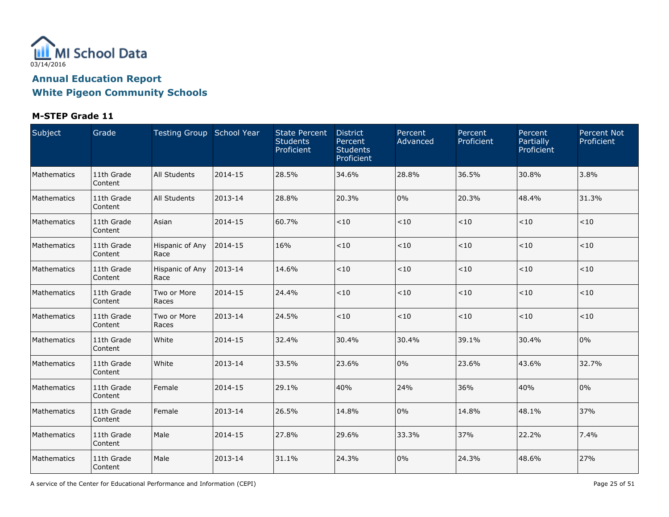

### **M-STEP Grade 11**

| Subject     | Grade                 | Testing Group School Year |         | <b>State Percent</b><br><b>Students</b><br>Proficient | <b>District</b><br>Percent<br><b>Students</b><br>Proficient | Percent<br>Advanced | Percent<br>Proficient | Percent<br>Partially<br>Proficient | <b>Percent Not</b><br>Proficient |
|-------------|-----------------------|---------------------------|---------|-------------------------------------------------------|-------------------------------------------------------------|---------------------|-----------------------|------------------------------------|----------------------------------|
| Mathematics | 11th Grade<br>Content | <b>All Students</b>       | 2014-15 | 28.5%                                                 | 34.6%                                                       | 28.8%               | 36.5%                 | 30.8%                              | 3.8%                             |
| Mathematics | 11th Grade<br>Content | <b>All Students</b>       | 2013-14 | 28.8%                                                 | 20.3%                                                       | 0%                  | 20.3%                 | 48.4%                              | 31.3%                            |
| Mathematics | 11th Grade<br>Content | Asian                     | 2014-15 | 60.7%                                                 | < 10                                                        | $<10$               | < 10                  | $<10$                              | < 10                             |
| Mathematics | 11th Grade<br>Content | Hispanic of Any<br>Race   | 2014-15 | 16%                                                   | < 10                                                        | $<10$               | < 10                  | $<10$                              | < 10                             |
| Mathematics | 11th Grade<br>Content | Hispanic of Any<br>Race   | 2013-14 | 14.6%                                                 | < 10                                                        | $<10$               | < 10                  | $<10$                              | $<10$                            |
| Mathematics | 11th Grade<br>Content | Two or More<br>Races      | 2014-15 | 24.4%                                                 | < 10                                                        | < 10                | < 10                  | $<10$                              | $<10$                            |
| Mathematics | 11th Grade<br>Content | Two or More<br>Races      | 2013-14 | 24.5%                                                 | < 10                                                        | $<10$               | < 10                  | $<10$                              | < 10                             |
| Mathematics | 11th Grade<br>Content | White                     | 2014-15 | 32.4%                                                 | 30.4%                                                       | 30.4%               | 39.1%                 | 30.4%                              | 0%                               |
| Mathematics | 11th Grade<br>Content | White                     | 2013-14 | 33.5%                                                 | 23.6%                                                       | 0%                  | 23.6%                 | 43.6%                              | 32.7%                            |
| Mathematics | 11th Grade<br>Content | Female                    | 2014-15 | 29.1%                                                 | 40%                                                         | 24%                 | 36%                   | 40%                                | 0%                               |
| Mathematics | 11th Grade<br>Content | Female                    | 2013-14 | 26.5%                                                 | 14.8%                                                       | 0%                  | 14.8%                 | 48.1%                              | 37%                              |
| Mathematics | 11th Grade<br>Content | Male                      | 2014-15 | 27.8%                                                 | 29.6%                                                       | 33.3%               | 37%                   | 22.2%                              | 7.4%                             |
| Mathematics | 11th Grade<br>Content | Male                      | 2013-14 | 31.1%                                                 | 24.3%                                                       | 0%                  | 24.3%                 | 48.6%                              | 27%                              |

A service of the Center for Educational Performance and Information (CEPI) A service of the Center for Educational Performance and Information (CEPI) Page 25 of 51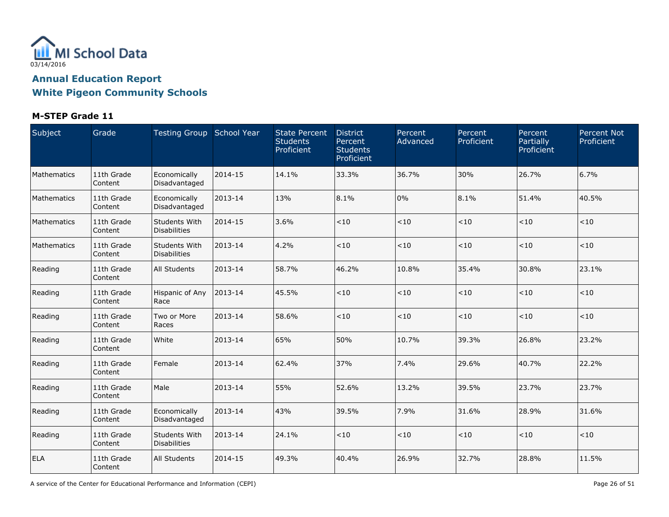

### **M-STEP Grade 11**

| Subject     | Grade                 | Testing Group School Year            |         | <b>State Percent</b><br><b>Students</b><br>Proficient | <b>District</b><br>Percent<br><b>Students</b><br>Proficient | Percent<br>Advanced | Percent<br>Proficient | Percent<br>Partially<br>Proficient | <b>Percent Not</b><br>Proficient |
|-------------|-----------------------|--------------------------------------|---------|-------------------------------------------------------|-------------------------------------------------------------|---------------------|-----------------------|------------------------------------|----------------------------------|
| Mathematics | 11th Grade<br>Content | Economically<br>Disadvantaged        | 2014-15 | 14.1%                                                 | 33.3%                                                       | 36.7%               | 30%                   | 26.7%                              | 6.7%                             |
| Mathematics | 11th Grade<br>Content | Economically<br>Disadvantaged        | 2013-14 | 13%                                                   | 8.1%                                                        | 0%                  | 8.1%                  | 51.4%                              | 40.5%                            |
| Mathematics | 11th Grade<br>Content | Students With<br><b>Disabilities</b> | 2014-15 | 3.6%                                                  | < 10                                                        | $<10$               | < 10                  | < 10                               | < 10                             |
| Mathematics | 11th Grade<br>Content | Students With<br>Disabilities        | 2013-14 | 4.2%                                                  | $<10$                                                       | $<10$               | < 10                  | < 10                               | < 10                             |
| Reading     | 11th Grade<br>Content | All Students                         | 2013-14 | 58.7%                                                 | 46.2%                                                       | 10.8%               | 35.4%                 | 30.8%                              | 23.1%                            |
| Reading     | 11th Grade<br>Content | Hispanic of Any<br>Race              | 2013-14 | 45.5%                                                 | < 10                                                        | $<\!10$             | $<10$                 | < 10                               | < 10                             |
| Reading     | 11th Grade<br>Content | Two or More<br>Races                 | 2013-14 | 58.6%                                                 | < 10                                                        | $<\!10$             | $<\!10$               | < 10                               | < 10                             |
| Reading     | 11th Grade<br>Content | White                                | 2013-14 | 65%                                                   | 50%                                                         | 10.7%               | 39.3%                 | 26.8%                              | 23.2%                            |
| Reading     | 11th Grade<br>Content | Female                               | 2013-14 | 62.4%                                                 | 37%                                                         | 7.4%                | 29.6%                 | 40.7%                              | 22.2%                            |
| Reading     | 11th Grade<br>Content | Male                                 | 2013-14 | 55%                                                   | 52.6%                                                       | 13.2%               | 39.5%                 | 23.7%                              | 23.7%                            |
| Reading     | 11th Grade<br>Content | Economically<br>Disadvantaged        | 2013-14 | 43%                                                   | 39.5%                                                       | 7.9%                | 31.6%                 | 28.9%                              | 31.6%                            |
| Reading     | 11th Grade<br>Content | Students With<br><b>Disabilities</b> | 2013-14 | 24.1%                                                 | < 10                                                        | $<\!10$             | < 10                  | < 10                               | < 10                             |
| <b>ELA</b>  | 11th Grade<br>Content | All Students                         | 2014-15 | 49.3%                                                 | 40.4%                                                       | 26.9%               | 32.7%                 | 28.8%                              | 11.5%                            |

A service of the Center for Educational Performance and Information (CEPI) **Page 26 of 51** Page 26 of 51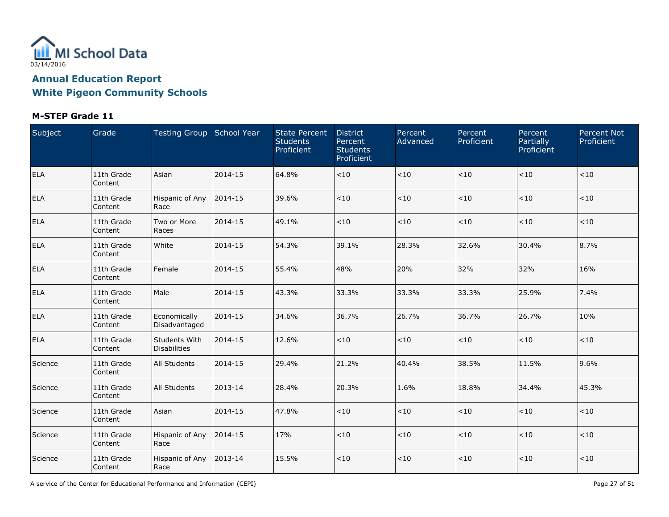

### **M-STEP Grade 11**

| Subject    | Grade                 | Testing Group School Year            |         | <b>State Percent</b><br><b>Students</b><br>Proficient | <b>District</b><br>Percent<br><b>Students</b><br>Proficient | Percent<br>Advanced | Percent<br>Proficient | Percent<br>Partially<br>Proficient | Percent Not<br>Proficient |
|------------|-----------------------|--------------------------------------|---------|-------------------------------------------------------|-------------------------------------------------------------|---------------------|-----------------------|------------------------------------|---------------------------|
| <b>ELA</b> | 11th Grade<br>Content | Asian                                | 2014-15 | 64.8%                                                 | $<\!10$                                                     | $<\!10$             | $<\!10$               | ~10                                | < 10                      |
| <b>ELA</b> | 11th Grade<br>Content | Hispanic of Any<br>Race              | 2014-15 | 39.6%                                                 | $<\!10$                                                     | $<\!10$             | $<10$                 | < 10                               | < 10                      |
| <b>ELA</b> | 11th Grade<br>Content | Two or More<br>Races                 | 2014-15 | 49.1%                                                 | < 10                                                        | < 10                | $<10$                 | < 10                               | < 10                      |
| <b>ELA</b> | 11th Grade<br>Content | White                                | 2014-15 | 54.3%                                                 | 39.1%                                                       | 28.3%               | 32.6%                 | 30.4%                              | 8.7%                      |
| <b>ELA</b> | 11th Grade<br>Content | Female                               | 2014-15 | 55.4%                                                 | 48%                                                         | 20%                 | 32%                   | 32%                                | 16%                       |
| <b>ELA</b> | 11th Grade<br>Content | Male                                 | 2014-15 | 43.3%                                                 | 33.3%                                                       | 33.3%               | 33.3%                 | 25.9%                              | 7.4%                      |
| <b>ELA</b> | 11th Grade<br>Content | Economically<br>Disadvantaged        | 2014-15 | 34.6%                                                 | 36.7%                                                       | 26.7%               | 36.7%                 | 26.7%                              | 10%                       |
| <b>ELA</b> | 11th Grade<br>Content | Students With<br><b>Disabilities</b> | 2014-15 | 12.6%                                                 | < 10                                                        | < 10                | < 10                  | < 10                               | < 10                      |
| Science    | 11th Grade<br>Content | All Students                         | 2014-15 | 29.4%                                                 | 21.2%                                                       | 40.4%               | 38.5%                 | 11.5%                              | 9.6%                      |
| Science    | 11th Grade<br>Content | All Students                         | 2013-14 | 28.4%                                                 | 20.3%                                                       | 1.6%                | 18.8%                 | 34.4%                              | 45.3%                     |
| Science    | 11th Grade<br>Content | Asian                                | 2014-15 | 47.8%                                                 | $<10$                                                       | < 10                | $<10$                 | $<10$                              | $<$ 10                    |
| Science    | 11th Grade<br>Content | Hispanic of Any<br>Race              | 2014-15 | 17%                                                   | $<10$                                                       | $<\!10$             | $<10$                 | < 10                               | < 10                      |
| Science    | 11th Grade<br>Content | Hispanic of Any<br>Race              | 2013-14 | 15.5%                                                 | $<10$                                                       | $<\!10$             | < 10                  | < 10                               | < 10                      |

A service of the Center for Educational Performance and Information (CEPI) **Page 27 of 51** Page 27 of 51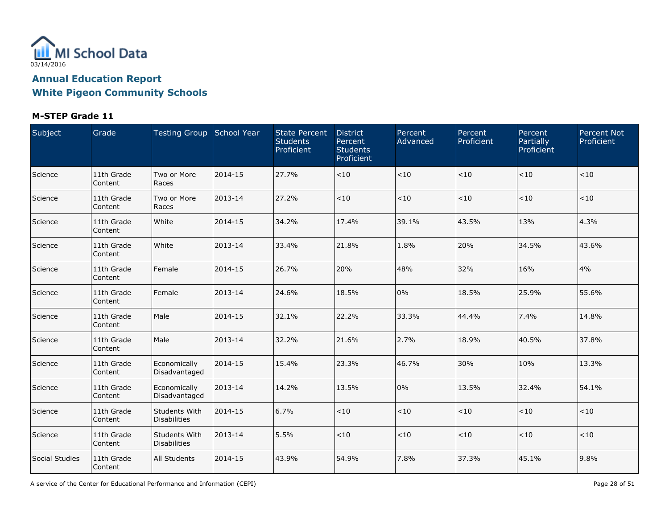

### **M-STEP Grade 11**

| Subject        | Grade                 | Testing Group School Year            |         | <b>State Percent</b><br><b>Students</b><br>Proficient | <b>District</b><br>Percent<br><b>Students</b><br>Proficient | Percent<br>Advanced | Percent<br><b>Proficient</b> | Percent<br>Partially<br>Proficient | <b>Percent Not</b><br>Proficient |
|----------------|-----------------------|--------------------------------------|---------|-------------------------------------------------------|-------------------------------------------------------------|---------------------|------------------------------|------------------------------------|----------------------------------|
| Science        | 11th Grade<br>Content | Two or More<br>Races                 | 2014-15 | 27.7%                                                 | < 10                                                        | $<10$               | < 10                         | $<10$                              | < 10                             |
| Science        | 11th Grade<br>Content | Two or More<br>Races                 | 2013-14 | 27.2%                                                 | < 10                                                        | < 10                | < 10                         | $<\!10$                            | $<10$                            |
| Science        | 11th Grade<br>Content | White                                | 2014-15 | 34.2%                                                 | 17.4%                                                       | 39.1%               | 43.5%                        | 13%                                | 4.3%                             |
| Science        | 11th Grade<br>Content | White                                | 2013-14 | 33.4%                                                 | 21.8%                                                       | 1.8%                | 20%                          | 34.5%                              | 43.6%                            |
| Science        | 11th Grade<br>Content | Female                               | 2014-15 | 26.7%                                                 | 20%                                                         | 48%                 | 32%                          | 16%                                | 4%                               |
| Science        | 11th Grade<br>Content | Female                               | 2013-14 | 24.6%                                                 | 18.5%                                                       | 0%                  | 18.5%                        | 25.9%                              | 55.6%                            |
| Science        | 11th Grade<br>Content | Male                                 | 2014-15 | 32.1%                                                 | 22.2%                                                       | 33.3%               | 44.4%                        | 7.4%                               | 14.8%                            |
| Science        | 11th Grade<br>Content | Male                                 | 2013-14 | 32.2%                                                 | 21.6%                                                       | 2.7%                | 18.9%                        | 40.5%                              | 37.8%                            |
| Science        | 11th Grade<br>Content | Economically<br>Disadvantaged        | 2014-15 | 15.4%                                                 | 23.3%                                                       | 46.7%               | 30%                          | 10%                                | 13.3%                            |
| Science        | 11th Grade<br>Content | Economically<br>Disadvantaged        | 2013-14 | 14.2%                                                 | 13.5%                                                       | 0%                  | 13.5%                        | 32.4%                              | 54.1%                            |
| Science        | 11th Grade<br>Content | Students With<br><b>Disabilities</b> | 2014-15 | 6.7%                                                  | < 10                                                        | $<10$               | < 10                         | $<\!10$                            | < 10                             |
| Science        | 11th Grade<br>Content | Students With<br>Disabilities        | 2013-14 | 5.5%                                                  | <10                                                         | < 10                | $<10$                        | $<\!10$                            | < 10                             |
| Social Studies | 11th Grade<br>Content | All Students                         | 2014-15 | 43.9%                                                 | 54.9%                                                       | 7.8%                | 37.3%                        | 45.1%                              | 9.8%                             |

A service of the Center for Educational Performance and Information (CEPI) **Page 28 of 51** Page 28 of 51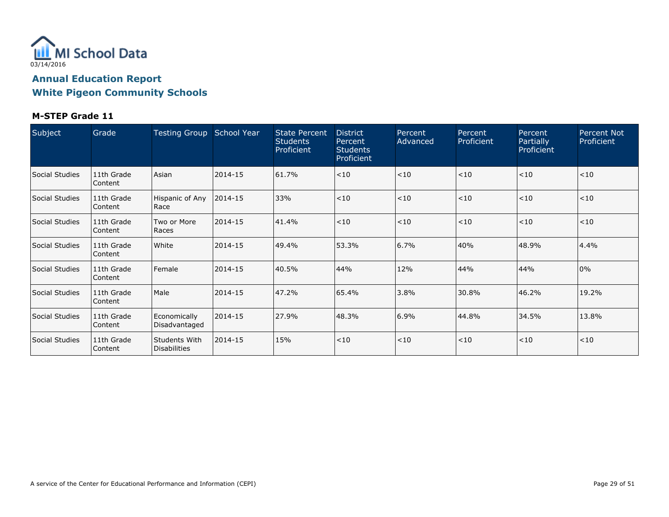

#### **M-STEP Grade 11**

| Subject        | Grade                   | <b>Testing Group</b>                 | School Year | <b>State Percent</b><br><b>Students</b><br>Proficient | <b>District</b><br>Percent<br><b>Students</b><br>Proficient | Percent<br>Advanced | Percent<br>Proficient | Percent<br>Partially<br>Proficient | Percent Not<br>Proficient |
|----------------|-------------------------|--------------------------------------|-------------|-------------------------------------------------------|-------------------------------------------------------------|---------------------|-----------------------|------------------------------------|---------------------------|
| Social Studies | 11th Grade<br>l Content | Asian                                | 2014-15     | 61.7%                                                 | < 10                                                        | < 10                | < 10                  | < 10                               | < 10                      |
| Social Studies | 11th Grade<br>Content   | Hispanic of Any<br>Race              | 2014-15     | 33%                                                   | < 10                                                        | < 10                | < 10                  | < 10                               | < 10                      |
| Social Studies | 11th Grade<br>Content   | Two or More<br>Races                 | 2014-15     | 41.4%                                                 | < 10                                                        | < 10                | < 10                  | < 10                               | < 10                      |
| Social Studies | 11th Grade<br>l Content | White                                | 2014-15     | 49.4%                                                 | 53.3%                                                       | 6.7%                | 40%                   | 48.9%                              | 4.4%                      |
| Social Studies | 11th Grade<br>Content   | Female                               | 2014-15     | 40.5%                                                 | 44%                                                         | 12%                 | 44%                   | 44%                                | 0%                        |
| Social Studies | 11th Grade<br>l Content | Male                                 | 2014-15     | 47.2%                                                 | 65.4%                                                       | 3.8%                | 30.8%                 | 46.2%                              | 19.2%                     |
| Social Studies | 11th Grade<br> Content  | Economically<br>Disadvantaged        | 2014-15     | 27.9%                                                 | 48.3%                                                       | 6.9%                | 44.8%                 | 34.5%                              | 13.8%                     |
| Social Studies | 11th Grade<br>Content   | Students With<br><b>Disabilities</b> | 2014-15     | 15%                                                   | < 10                                                        | $ $ < 10            | < 10                  | < 10                               | < 10                      |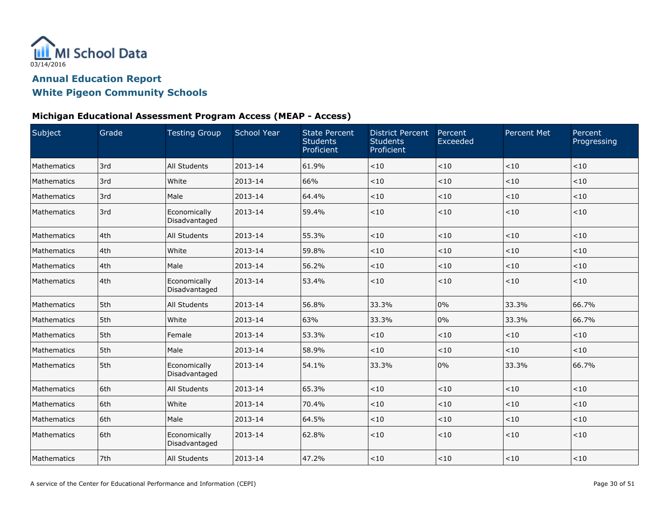

#### **Michigan Educational Assessment Program Access (MEAP - Access)**

| Subject     | Grade | <b>Testing Group</b>          | <b>School Year</b> | <b>State Percent</b><br><b>Students</b><br>Proficient | <b>District Percent</b><br><b>Students</b><br>Proficient | Percent<br>Exceeded | <b>Percent Met</b> | Percent<br>Progressing |
|-------------|-------|-------------------------------|--------------------|-------------------------------------------------------|----------------------------------------------------------|---------------------|--------------------|------------------------|
| Mathematics | 3rd   | All Students                  | 2013-14            | 61.9%                                                 | < 10                                                     | < 10                | < 10               | $<10$                  |
| Mathematics | 3rd   | White                         | 2013-14            | 66%                                                   | < 10                                                     | < 10                | < 10               | < 10                   |
| Mathematics | 3rd   | Male                          | 2013-14            | 64.4%                                                 | $<10$                                                    | <10                 | < 10               | $<\!10$                |
| Mathematics | 3rd   | Economically<br>Disadvantaged | 2013-14            | 59.4%                                                 | < 10                                                     | < 10                | < 10               | < 10                   |
| Mathematics | 4th   | All Students                  | 2013-14            | 55.3%                                                 | < 10                                                     | < 10                | < 10               | < 10                   |
| Mathematics | 4th   | White                         | 2013-14            | 59.8%                                                 | $<10$                                                    | <10                 | < 10               | < 10                   |
| Mathematics | 4th   | Male                          | 2013-14            | 56.2%                                                 | < 10                                                     | < 10                | < 10               | < 10                   |
| Mathematics | 4th   | Economically<br>Disadvantaged | 2013-14            | 53.4%                                                 | $<10$                                                    | <10                 | < 10               | $<\!10$                |
| Mathematics | 5th   | All Students                  | 2013-14            | 56.8%                                                 | 33.3%                                                    | 0%                  | 33.3%              | 66.7%                  |
| Mathematics | 5th   | White                         | 2013-14            | 63%                                                   | 33.3%                                                    | 0%                  | 33.3%              | 66.7%                  |
| Mathematics | 5th   | Female                        | 2013-14            | 53.3%                                                 | < 10                                                     | < 10                | < 10               | < 10                   |
| Mathematics | 5th   | Male                          | 2013-14            | 58.9%                                                 | $<10$                                                    | <10                 | < 10               | < 10                   |
| Mathematics | 5th   | Economically<br>Disadvantaged | 2013-14            | 54.1%                                                 | 33.3%                                                    | 0%                  | 33.3%              | 66.7%                  |
| Mathematics | 6th   | All Students                  | 2013-14            | 65.3%                                                 | $<10$                                                    | < 10                | < 10               | < 10                   |
| Mathematics | l 6th | White                         | 2013-14            | 70.4%                                                 | < 10                                                     | < 10                | < 10               | < 10                   |
| Mathematics | 6th   | Male                          | 2013-14            | 64.5%                                                 | $<10$                                                    | < 10                | < 10               | < 10                   |
| Mathematics | 6th   | Economically<br>Disadvantaged | 2013-14            | 62.8%                                                 | $<10$                                                    | <10                 | < 10               | < 10                   |
| Mathematics | 7th   | All Students                  | 2013-14            | 47.2%                                                 | $<10$                                                    | < 10                | < 10               | < 10                   |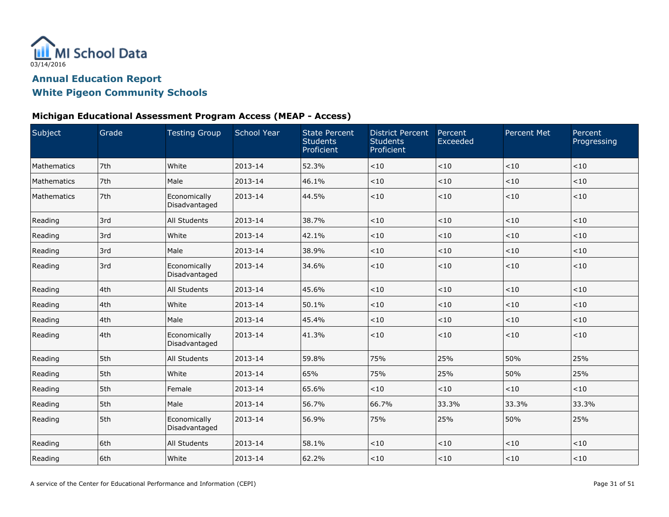

#### **Michigan Educational Assessment Program Access (MEAP - Access)**

| Subject     | Grade | <b>Testing Group</b>          | <b>School Year</b> | <b>State Percent</b><br><b>Students</b><br>Proficient | <b>District Percent</b><br><b>Students</b><br>Proficient | Percent<br>Exceeded | <b>Percent Met</b> | Percent<br>Progressing |
|-------------|-------|-------------------------------|--------------------|-------------------------------------------------------|----------------------------------------------------------|---------------------|--------------------|------------------------|
| Mathematics | 7th   | White                         | 2013-14            | 52.3%                                                 | $<10$                                                    | < 10                | < 10               | $<10$                  |
| Mathematics | 7th   | Male                          | 2013-14            | 46.1%                                                 | < 10                                                     | < 10                | < 10               | < 10                   |
| Mathematics | 7th   | Economically<br>Disadvantaged | 2013-14            | 44.5%                                                 | $<10$                                                    | < 10                | < 10               | $<\!10$                |
| Reading     | 3rd   | All Students                  | 2013-14            | 38.7%                                                 | < 10                                                     | < 10                | < 10               | < 10                   |
| Reading     | 3rd   | White                         | 2013-14            | 42.1%                                                 | $<10$                                                    | < 10                | $<$ 10             | < 10                   |
| Reading     | 3rd   | Male                          | 2013-14            | 38.9%                                                 | $<10$                                                    | <10                 | < 10               | ${<}10$                |
| Reading     | 3rd   | Economically<br>Disadvantaged | 2013-14            | 34.6%                                                 | < 10                                                     | $<10$               | < 10               | < 10                   |
| Reading     | 4th   | All Students                  | $2013 - 14$        | 45.6%                                                 | $<10$                                                    | <10                 | < 10               | < 10                   |
| Reading     | 4th   | White                         | 2013-14            | 50.1%                                                 | $<10$                                                    | < 10                | < 10               | < 10                   |
| Reading     | 4th   | Male                          | 2013-14            | 45.4%                                                 | < 10                                                     | < 10                | < 10               | $<10$                  |
| Reading     | l4th  | Economically<br>Disadvantaged | 2013-14            | 41.3%                                                 | < 10                                                     | < 10                | < 10               | < 10                   |
| Reading     | 5th   | All Students                  | 2013-14            | 59.8%                                                 | 75%                                                      | 25%                 | 50%                | 25%                    |
| Reading     | 5th   | White                         | 2013-14            | 65%                                                   | 75%                                                      | 25%                 | 50%                | 25%                    |
| Reading     | 5th   | Female                        | 2013-14            | 65.6%                                                 | < 10                                                     | < 10                | $<$ 10             | < 10                   |
| Reading     | 5th   | Male                          | 2013-14            | 56.7%                                                 | 66.7%                                                    | 33.3%               | 33.3%              | 33.3%                  |
| Reading     | 5th   | Economically<br>Disadvantaged | 2013-14            | 56.9%                                                 | 75%                                                      | 25%                 | 50%                | 25%                    |
| Reading     | 6th   | All Students                  | 2013-14            | 58.1%                                                 | < 10                                                     | < 10                | < 10               | < 10                   |
| Reading     | 6th   | White                         | 2013-14            | 62.2%                                                 | $<10$                                                    | < 10                | < 10               | < 10                   |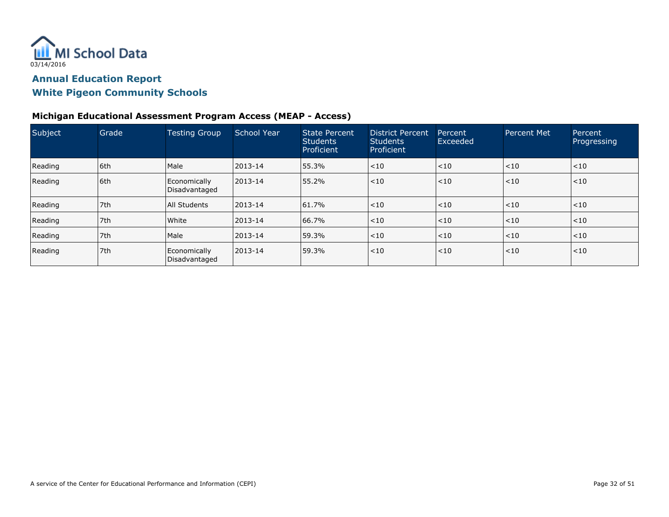

#### **Michigan Educational Assessment Program Access (MEAP - Access)**

| Subject | Grade | <b>Testing Group</b>          | School Year  | State Percent<br><b>Students</b><br>Proficient | District Percent<br><b>Students</b><br>Proficient | Percent<br>Exceeded | <b>Percent Met</b> | Percent<br>Progressing |
|---------|-------|-------------------------------|--------------|------------------------------------------------|---------------------------------------------------|---------------------|--------------------|------------------------|
| Reading | l 6th | Male                          | $12013 - 14$ | 55.3%                                          | $<$ 10                                            | < 10                | < 10               | $<$ 10                 |
| Reading | l 6th | Economically<br>Disadvantaged | $ 2013 - 14$ | 55.2%                                          | < 10                                              | < 10                | < 10               | $<$ 10                 |
| Reading | 7th   | All Students                  | $12013 - 14$ | 61.7%                                          | < 10                                              | < 10                | < 10               | $ $ < 10               |
| Reading | 7th   | White                         | $12013 - 14$ | 66.7%                                          | < 10                                              | $ $ < 10            | < 10               | $<$ 10                 |
| Reading | 7th   | Male                          | $12013 - 14$ | 59.3%                                          | < 10                                              | $ $ < 10            | < 10               | $<$ 10                 |
| Reading | 7th   | Economically<br>Disadvantaged | $12013 - 14$ | 59.3%                                          | < 10                                              | < 10                | < 10               | $<$ 10                 |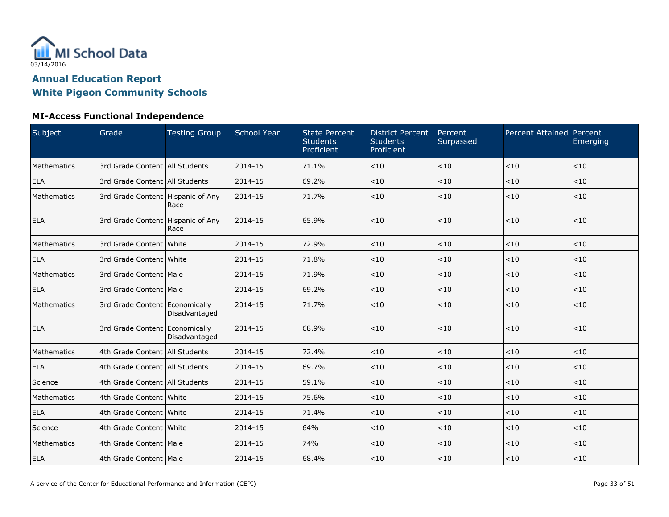

### **MI-Access Functional Independence**

| Subject     | Grade                               | <b>Testing Group</b> | <b>School Year</b> | <b>State Percent</b><br><b>Students</b><br>Proficient | <b>District Percent</b><br><b>Students</b><br>Proficient | Percent<br>Surpassed | <b>Percent Attained Percent</b> | Emerging |
|-------------|-------------------------------------|----------------------|--------------------|-------------------------------------------------------|----------------------------------------------------------|----------------------|---------------------------------|----------|
| Mathematics | 3rd Grade Content   All Students    |                      | 2014-15            | 71.1%                                                 | < 10                                                     | < 10                 | < 10                            | < 10     |
| <b>ELA</b>  | 3rd Grade Content All Students      |                      | 2014-15            | 69.2%                                                 | < 10                                                     | < 10                 | < 10                            | < 10     |
| Mathematics | 3rd Grade Content   Hispanic of Any | Race                 | 2014-15            | 71.7%                                                 | < 10                                                     | < 10                 | < 10                            | < 10     |
| <b>ELA</b>  | 3rd Grade Content Hispanic of Any   | Race                 | 2014-15            | 65.9%                                                 | < 10                                                     | < 10                 | < 10                            | $<10$    |
| Mathematics | 3rd Grade Content White             |                      | 2014-15            | 72.9%                                                 | < 10                                                     | < 10                 | < 10                            | $<10$    |
| <b>ELA</b>  | 3rd Grade Content White             |                      | 2014-15            | 71.8%                                                 | < 10                                                     | < 10                 | < 10                            | < 10     |
| Mathematics | 3rd Grade Content   Male            |                      | 2014-15            | 71.9%                                                 | < 10                                                     | < 10                 | < 10                            | < 10     |
| <b>ELA</b>  | 3rd Grade Content   Male            |                      | 2014-15            | 69.2%                                                 | < 10                                                     | < 10                 | < 10                            | $<10$    |
| Mathematics | 3rd Grade Content Economically      | Disadvantaged        | 2014-15            | 71.7%                                                 | < 10                                                     | < 10                 | < 10                            | < 10     |
| <b>ELA</b>  | 3rd Grade Content Economically      | Disadvantaged        | 2014-15            | 68.9%                                                 | < 10                                                     | < 10                 | < 10                            | $<10$    |
| Mathematics | 4th Grade Content   All Students    |                      | 2014-15            | 72.4%                                                 | < 10                                                     | < 10                 | < 10                            | < 10     |
| <b>ELA</b>  | 4th Grade Content All Students      |                      | 2014-15            | 69.7%                                                 | < 10                                                     | < 10                 | < 10                            | < 10     |
| Science     | 4th Grade Content   All Students    |                      | 2014-15            | 59.1%                                                 | < 10                                                     | < 10                 | $<10$                           | < 10     |
| Mathematics | 4th Grade Content White             |                      | 2014-15            | 75.6%                                                 | < 10                                                     | < 10                 | < 10                            | < 10     |
| <b>ELA</b>  | 4th Grade Content White             |                      | 2014-15            | 71.4%                                                 | < 10                                                     | < 10                 | < 10                            | $<10$    |
| Science     | 4th Grade Content   White           |                      | 2014-15            | 64%                                                   | < 10                                                     | < 10                 | $<10$                           | < 10     |
| Mathematics | 4th Grade Content   Male            |                      | 2014-15            | 74%                                                   | < 10                                                     | < 10                 | < 10                            | < 10     |
| <b>ELA</b>  | 4th Grade Content   Male            |                      | 2014-15            | 68.4%                                                 | < 10                                                     | < 10                 | $<10$                           | < 10     |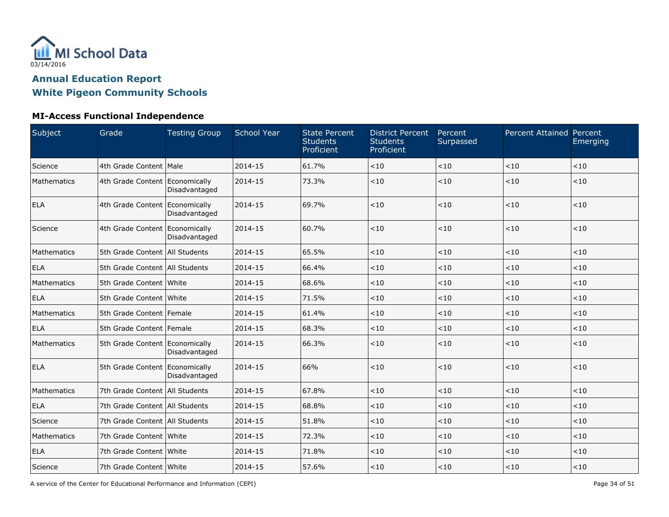

### **MI-Access Functional Independence**

| Subject     | Grade                            | <b>Testing Group</b> | School Year | <b>State Percent</b><br><b>Students</b><br>Proficient | <b>District Percent</b><br><b>Students</b><br>Proficient | Percent<br>Surpassed | <b>Percent Attained Percent</b> | Emerging |
|-------------|----------------------------------|----------------------|-------------|-------------------------------------------------------|----------------------------------------------------------|----------------------|---------------------------------|----------|
| Science     | 4th Grade Content   Male         |                      | 2014-15     | 61.7%                                                 | $<10$                                                    | < 10                 | $<10$                           | < 10     |
| Mathematics | 4th Grade Content Economically   | Disadvantaged        | 2014-15     | 73.3%                                                 | < 10                                                     | < 10                 | < 10                            | < 10     |
| <b>ELA</b>  | 4th Grade Content Economically   | Disadvantaged        | 2014-15     | 69.7%                                                 | < 10                                                     | < 10                 | < 10                            | < 10     |
| Science     | 4th Grade Content Economically   | Disadvantaged        | 2014-15     | 60.7%                                                 | < 10                                                     | < 10                 | $<10$                           | < 10     |
| Mathematics | 5th Grade Content   All Students |                      | 2014-15     | 65.5%                                                 | < 10                                                     | $<10$                | < 10                            | < 10     |
| <b>ELA</b>  | 5th Grade Content   All Students |                      | 2014-15     | 66.4%                                                 | < 10                                                     | < 10                 | < 10                            | < 10     |
| Mathematics | 5th Grade Content White          |                      | 2014-15     | 68.6%                                                 | < 10                                                     | < 10                 | $<10$                           | < 10     |
| <b>ELA</b>  | 5th Grade Content White          |                      | 2014-15     | 71.5%                                                 | < 10                                                     | < 10                 | < 10                            | < 10     |
| Mathematics | 5th Grade Content   Female       |                      | $2014 - 15$ | 61.4%                                                 | < 10                                                     | < 10                 | < 10                            | < 10     |
| <b>ELA</b>  | 5th Grade Content   Female       |                      | 2014-15     | 68.3%                                                 | $<10$                                                    | < 10                 | $<10$                           | < 10     |
| Mathematics | 5th Grade Content Economically   | Disadvantaged        | 2014-15     | 66.3%                                                 | < 10                                                     | < 10                 | < 10                            | < 10     |
| <b>ELA</b>  | 5th Grade Content Economically   | Disadvantaged        | 2014-15     | 66%                                                   | < 10                                                     | < 10                 | $<10$                           | < 10     |
| Mathematics | 7th Grade Content   All Students |                      | 2014-15     | 67.8%                                                 | < 10                                                     | < 10                 | < 10                            | < 10     |
| <b>ELA</b>  | 7th Grade Content   All Students |                      | 2014-15     | 68.8%                                                 | < 10                                                     | < 10                 | < 10                            | < 10     |
| Science     | 7th Grade Content All Students   |                      | 2014-15     | 51.8%                                                 | $<10$                                                    | < 10                 | $<10$                           | < 10     |
| Mathematics | 7th Grade Content White          |                      | 2014-15     | 72.3%                                                 | < 10                                                     | < 10                 | < 10                            | < 10     |
| <b>ELA</b>  | 7th Grade Content White          |                      | 2014-15     | 71.8%                                                 | < 10                                                     | < 10                 | < 10                            | < 10     |
| Science     | 7th Grade Content   White        |                      | 2014-15     | 57.6%                                                 | < 10                                                     | < 10                 | < 10                            | < 10     |

A service of the Center for Educational Performance and Information (CEPI) **Page 34 of 51** Page 34 of 51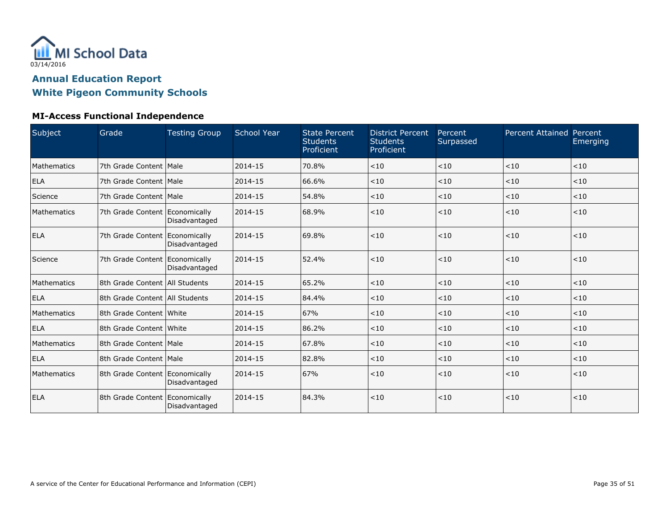

### **MI-Access Functional Independence**

| Subject     | Grade                            | <b>Testing Group</b> | <b>School Year</b> | <b>State Percent</b><br><b>Students</b><br>Proficient | <b>District Percent</b><br><b>Students</b><br>Proficient | Percent<br>Surpassed | <b>Percent Attained Percent</b> | Emerging |
|-------------|----------------------------------|----------------------|--------------------|-------------------------------------------------------|----------------------------------------------------------|----------------------|---------------------------------|----------|
| Mathematics | 7th Grade Content   Male         |                      | 2014-15            | 70.8%                                                 | < 10                                                     | < 10                 | < 10                            | < 10     |
| <b>ELA</b>  | 7th Grade Content   Male         |                      | 2014-15            | 66.6%                                                 | < 10                                                     | < 10                 | < 10                            | < 10     |
| Science     | 7th Grade Content   Male         |                      | 2014-15            | 54.8%                                                 | < 10                                                     | < 10                 | < 10                            | < 10     |
| Mathematics | 7th Grade Content Economically   | Disadvantaged        | 2014-15            | 68.9%                                                 | < 10                                                     | < 10                 | < 10                            | < 10     |
| <b>ELA</b>  | 7th Grade Content Economically   | Disadvantaged        | 2014-15            | 69.8%                                                 | < 10                                                     | < 10                 | < 10                            | < 10     |
| Science     | 7th Grade Content Economically   | Disadvantaged        | 2014-15            | 52.4%                                                 | < 10                                                     | < 10                 | < 10                            | < 10     |
| Mathematics | 8th Grade Content   All Students |                      | 2014-15            | 65.2%                                                 | < 10                                                     | < 10                 | < 10                            | < 10     |
| <b>ELA</b>  | 8th Grade Content   All Students |                      | 2014-15            | 84.4%                                                 | $<10$                                                    | < 10                 | < 10                            | $<10$    |
| Mathematics | 8th Grade Content White          |                      | 2014-15            | 67%                                                   | < 10                                                     | < 10                 | < 10                            | < 10     |
| <b>ELA</b>  | 8th Grade Content White          |                      | 2014-15            | 86.2%                                                 | < 10                                                     | < 10                 | < 10                            | < 10     |
| Mathematics | 8th Grade Content   Male         |                      | 2014-15            | 67.8%                                                 | < 10                                                     | < 10                 | < 10                            | < 10     |
| <b>ELA</b>  | 8th Grade Content   Male         |                      | 2014-15            | 82.8%                                                 | < 10                                                     | < 10                 | < 10                            | < 10     |
| Mathematics | 8th Grade Content Economically   | Disadvantaged        | 2014-15            | 67%                                                   | < 10                                                     | < 10                 | < 10                            | < 10     |
| <b>ELA</b>  | 8th Grade Content   Economically | Disadvantaged        | 2014-15            | 84.3%                                                 | < 10                                                     | < 10                 | < 10                            | < 10     |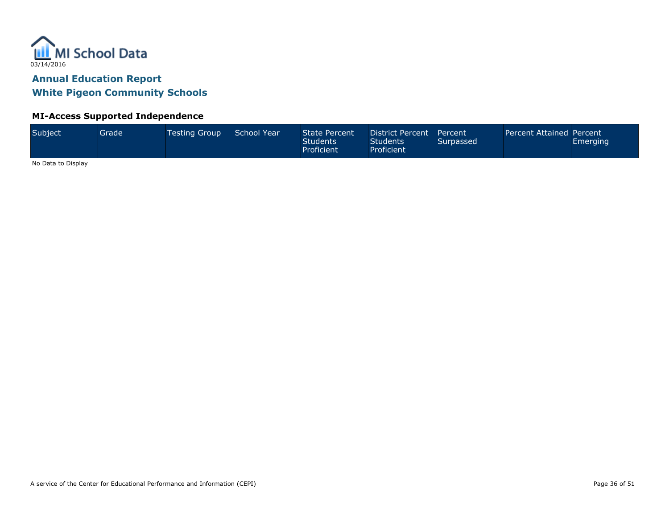

#### **MI-Access Supported Independence**

| Subject<br>School Year<br>Grade<br><b>Testing Group</b> | <b>State Percent</b><br>District Percent<br>Students<br><b>Students</b><br>Proficient<br>Proficient | Percent<br>Surpassed | Percent Attained Percent | <b>Emerging</b> |
|---------------------------------------------------------|-----------------------------------------------------------------------------------------------------|----------------------|--------------------------|-----------------|
|---------------------------------------------------------|-----------------------------------------------------------------------------------------------------|----------------------|--------------------------|-----------------|

No Data to Display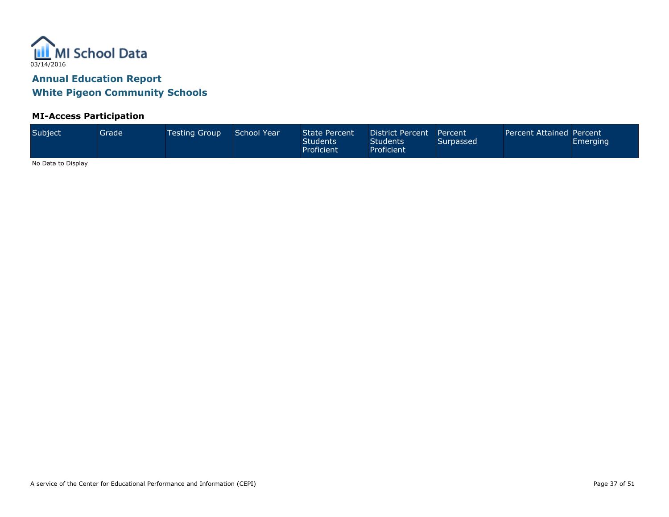

### **MI-Access Participation**

No Data to Display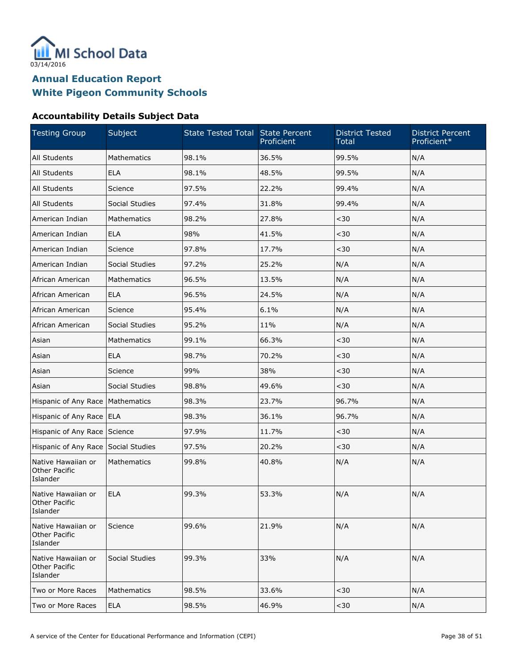

### **Accountability Details Subject Data**

| <b>Testing Group</b>                                   | Subject        | State Tested Total State Percent | Proficient | <b>District Tested</b><br><b>Total</b> | <b>District Percent</b><br>Proficient* |
|--------------------------------------------------------|----------------|----------------------------------|------------|----------------------------------------|----------------------------------------|
| All Students                                           | Mathematics    | 98.1%                            | 36.5%      | 99.5%                                  | N/A                                    |
| All Students                                           | <b>ELA</b>     | 98.1%                            | 48.5%      | 99.5%                                  | N/A                                    |
| All Students                                           | Science        | 97.5%                            | 22.2%      | 99.4%                                  | N/A                                    |
| All Students                                           | Social Studies | 97.4%                            | 31.8%      | 99.4%                                  | N/A                                    |
| American Indian                                        | Mathematics    | 98.2%                            | 27.8%      | $30$                                   | N/A                                    |
| American Indian                                        | <b>ELA</b>     | 98%                              | 41.5%      | $30$                                   | N/A                                    |
| American Indian                                        | Science        | 97.8%                            | 17.7%      | $30$                                   | N/A                                    |
| American Indian                                        | Social Studies | 97.2%                            | 25.2%      | N/A                                    | N/A                                    |
| African American                                       | Mathematics    | 96.5%                            | 13.5%      | N/A                                    | N/A                                    |
| African American                                       | <b>ELA</b>     | 96.5%                            | 24.5%      | N/A                                    | N/A                                    |
| African American                                       | Science        | 95.4%                            | 6.1%       | N/A                                    | N/A                                    |
| African American                                       | Social Studies | 95.2%                            | 11%        | N/A                                    | N/A                                    |
| Asian                                                  | Mathematics    | 99.1%                            | 66.3%      | $30$                                   | N/A                                    |
| Asian                                                  | <b>ELA</b>     | 98.7%                            | 70.2%      | $30$                                   | N/A                                    |
| Asian                                                  | Science        | 99%                              | 38%        | $30$                                   | N/A                                    |
| Asian                                                  | Social Studies | 98.8%                            | 49.6%      | $30$                                   | N/A                                    |
| Hispanic of Any Race                                   | Mathematics    | 98.3%                            | 23.7%      | 96.7%                                  | N/A                                    |
| Hispanic of Any Race                                   | <b>ELA</b>     | 98.3%                            | 36.1%      | 96.7%                                  | N/A                                    |
| Hispanic of Any Race                                   | Science        | 97.9%                            | 11.7%      | $30$                                   | N/A                                    |
| Hispanic of Any Race                                   | Social Studies | 97.5%                            | 20.2%      | $30$                                   | N/A                                    |
| Native Hawaiian or<br>Other Pacific<br>Islander        | Mathematics    | 99.8%                            | 40.8%      | N/A                                    | N/A                                    |
| Native Hawaiian or<br>Other Pacific<br>Islander        | <b>ELA</b>     | 99.3%                            | 53.3%      | N/A                                    | N/A                                    |
| Native Hawaiian or<br><b>Other Pacific</b><br>Islander | Science        | 99.6%                            | 21.9%      | N/A                                    | N/A                                    |
| Native Hawaiian or<br><b>Other Pacific</b><br>Islander | Social Studies | 99.3%                            | 33%        | N/A                                    | N/A                                    |
| Two or More Races                                      | Mathematics    | 98.5%                            | 33.6%      | $30$                                   | N/A                                    |
| Two or More Races                                      | <b>ELA</b>     | 98.5%                            | 46.9%      | $30$                                   | N/A                                    |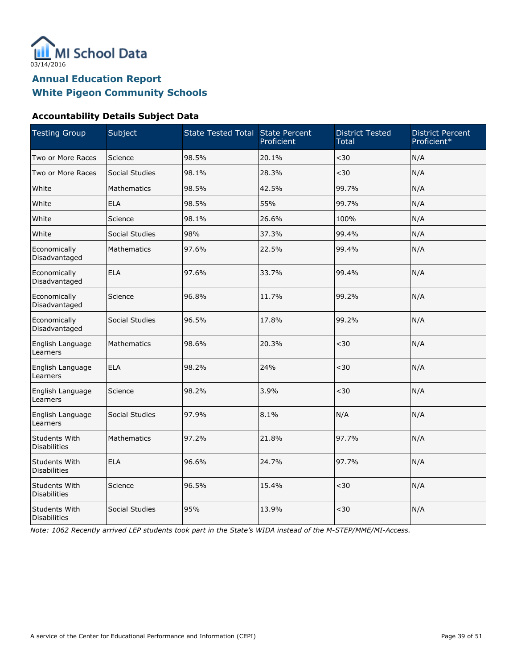

#### **Accountability Details Subject Data**

| <b>Testing Group</b>                 | Subject        | State Tested Total State Percent | Proficient | <b>District Tested</b><br><b>Total</b> | <b>District Percent</b><br>Proficient* |
|--------------------------------------|----------------|----------------------------------|------------|----------------------------------------|----------------------------------------|
| Two or More Races                    | Science        | 98.5%                            | 20.1%      | $30$                                   | N/A                                    |
| Two or More Races                    | Social Studies | 98.1%                            | 28.3%      | $30$                                   | N/A                                    |
| White                                | Mathematics    | 98.5%                            | 42.5%      | 99.7%                                  | N/A                                    |
| White                                | <b>ELA</b>     | 98.5%                            | 55%        | 99.7%                                  | N/A                                    |
| White                                | Science        | 98.1%                            | 26.6%      | 100%                                   | N/A                                    |
| White                                | Social Studies | 98%                              | 37.3%      | 99.4%                                  | N/A                                    |
| Economically<br>Disadvantaged        | Mathematics    | 97.6%                            | 22.5%      | 99.4%                                  | N/A                                    |
| Economically<br>Disadvantaged        | <b>ELA</b>     | 97.6%                            | 33.7%      | 99.4%                                  | N/A                                    |
| Economically<br>Disadvantaged        | Science        | 96.8%                            | 11.7%      | 99.2%                                  | N/A                                    |
| Economically<br>Disadvantaged        | Social Studies | 96.5%                            | 17.8%      | 99.2%                                  | N/A                                    |
| English Language<br>Learners         | Mathematics    | 98.6%                            | 20.3%      | $30$                                   | N/A                                    |
| English Language<br>Learners         | <b>ELA</b>     | 98.2%                            | 24%        | $30$                                   | N/A                                    |
| English Language<br>Learners         | Science        | 98.2%                            | 3.9%       | $30$                                   | N/A                                    |
| English Language<br>Learners         | Social Studies | 97.9%                            | 8.1%       | N/A                                    | N/A                                    |
| Students With<br><b>Disabilities</b> | Mathematics    | 97.2%                            | 21.8%      | 97.7%                                  | N/A                                    |
| Students With<br><b>Disabilities</b> | <b>ELA</b>     | 96.6%                            | 24.7%      | 97.7%                                  | N/A                                    |
| Students With<br><b>Disabilities</b> | Science        | 96.5%                            | 15.4%      | $30$                                   | N/A                                    |
| Students With<br><b>Disabilities</b> | Social Studies | 95%                              | 13.9%      | $30$                                   | N/A                                    |

Note: 1062 Recently arrived LEP students took part in the State's WIDA instead of the M-STEP/MME/MI-Access.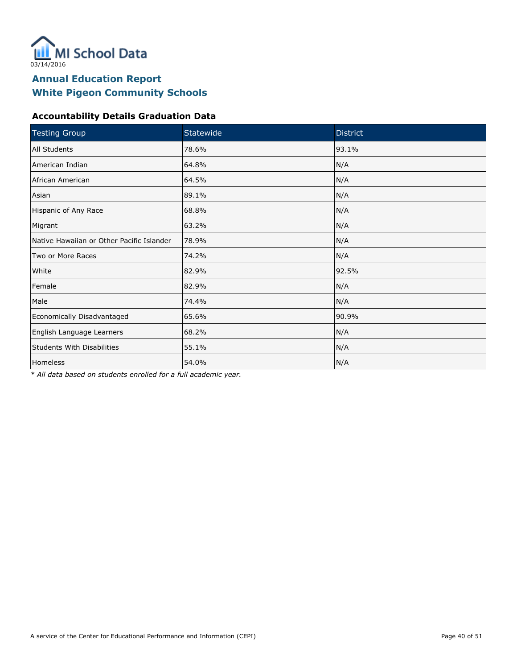

#### **Accountability Details Graduation Data**

| <b>Testing Group</b>                      | Statewide | <b>District</b> |  |
|-------------------------------------------|-----------|-----------------|--|
| All Students                              | 78.6%     | 93.1%           |  |
| American Indian                           | 64.8%     | N/A             |  |
| African American                          | 64.5%     | N/A             |  |
| Asian                                     | 89.1%     | N/A             |  |
| Hispanic of Any Race                      | 68.8%     | N/A             |  |
| Migrant                                   | 63.2%     | N/A             |  |
| Native Hawaiian or Other Pacific Islander | 78.9%     | N/A             |  |
| Two or More Races                         | 74.2%     | N/A             |  |
| White                                     | 82.9%     | 92.5%           |  |
| Female                                    | 82.9%     | N/A             |  |
| Male                                      | 74.4%     | N/A             |  |
| Economically Disadvantaged                | 65.6%     | 90.9%           |  |
| English Language Learners                 | 68.2%     | N/A             |  |
| <b>Students With Disabilities</b>         | 55.1%     | N/A             |  |
| Homeless                                  | 54.0%     | N/A             |  |

\* All data based on students enrolled for a full academic year.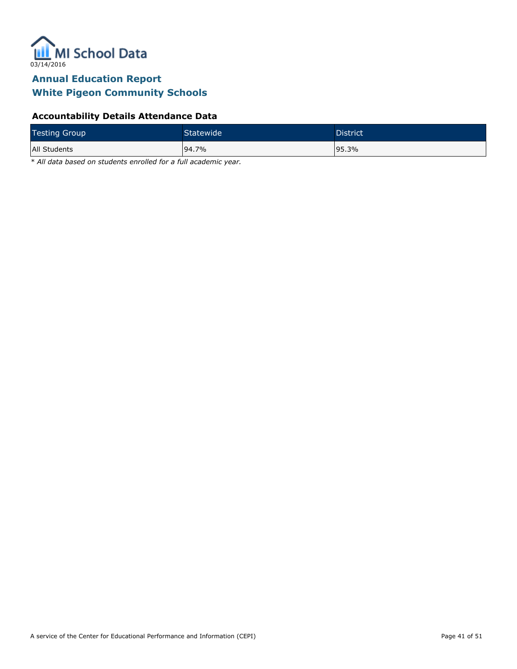

#### **Accountability Details Attendance Data**

| <b>Testing Group</b> | Statewide <sup>1</sup> | District <sup>'</sup> |
|----------------------|------------------------|-----------------------|
| All Students         | 94.7%                  | 195.3%                |

\* All data based on students enrolled for a full academic year.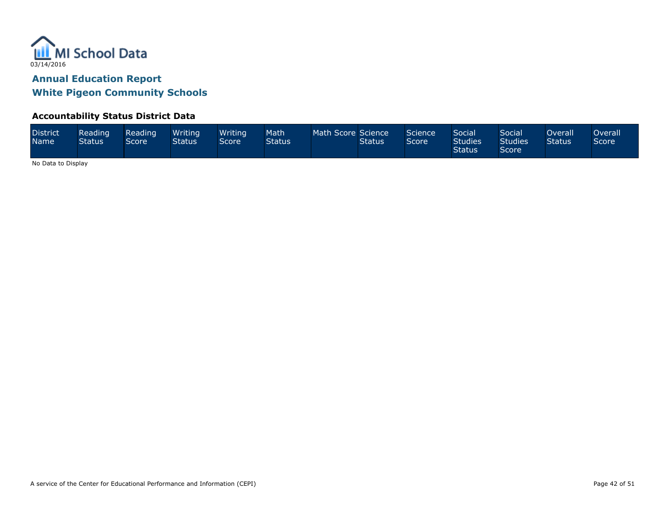

#### **Accountability Status District Data**

| <b>District</b><br><b>Name</b> | Reading<br><b>Status</b> | Reading<br>Score | Writing<br><b>Status</b> | Writing<br>Score | Math<br><b>Status</b> | Math Score Science | Status' | Science <sup>1</sup><br>Score | <b>Social</b><br><b>Studies</b><br><b>Status</b> | Social<br><b>Studies</b><br>Score | Overall <sup>1</sup><br>Status | ) verall<br>Score' |
|--------------------------------|--------------------------|------------------|--------------------------|------------------|-----------------------|--------------------|---------|-------------------------------|--------------------------------------------------|-----------------------------------|--------------------------------|--------------------|
|--------------------------------|--------------------------|------------------|--------------------------|------------------|-----------------------|--------------------|---------|-------------------------------|--------------------------------------------------|-----------------------------------|--------------------------------|--------------------|

No Data to Display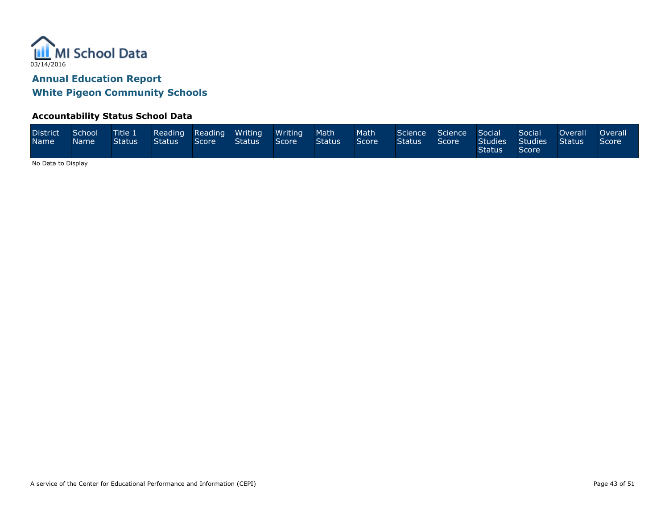

#### **Accountability Status School Data**

| <b>District</b><br><b>Name</b> | School<br>Name ! | <b>Title 1</b><br>Status | Status | Reading Reading Writing<br>Score | Status | Writing<br>Score | <b>Math</b><br><b>Status</b> | <b>Math</b><br>Score <sup>1</sup> | Science Science Social<br><b>Status</b> | Score | Studies<br><b>Status</b> | Social<br>Studies<br>Score <b>Score</b> | Overall<br><b>Status</b> | <b>Overall</b><br>Score |
|--------------------------------|------------------|--------------------------|--------|----------------------------------|--------|------------------|------------------------------|-----------------------------------|-----------------------------------------|-------|--------------------------|-----------------------------------------|--------------------------|-------------------------|
|--------------------------------|------------------|--------------------------|--------|----------------------------------|--------|------------------|------------------------------|-----------------------------------|-----------------------------------------|-------|--------------------------|-----------------------------------------|--------------------------|-------------------------|

No Data to Display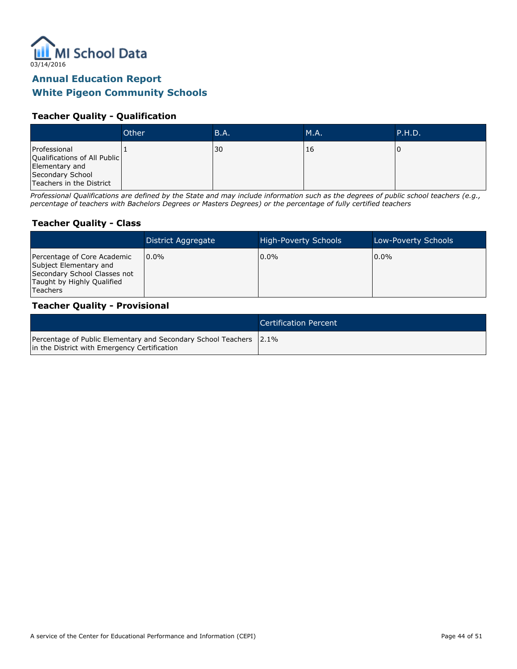

#### **Teacher Quality - Qualification**

|                                                                                                                | Other | <b>B.A.</b> | M.A. | P.H.D. |
|----------------------------------------------------------------------------------------------------------------|-------|-------------|------|--------|
| Professional<br>Qualifications of All Public<br>Elementary and<br>Secondary School<br>Teachers in the District |       | 30          | 16   |        |

Professional Qualifications are defined by the State and may include information such as the degrees of public school teachers (e.g., percentage of teachers with Bachelors Degrees or Masters Degrees) or the percentage of fully certified teachers

#### **Teacher Quality - Class**

|                                                                                                                                        | District Aggregate | <b>High-Poverty Schools</b> | Low-Poverty Schools |
|----------------------------------------------------------------------------------------------------------------------------------------|--------------------|-----------------------------|---------------------|
| Percentage of Core Academic<br>Subject Elementary and<br>Secondary School Classes not<br>Taught by Highly Qualified<br><b>Teachers</b> | 10.0%              | $0.0\%$                     | $10.0\%$            |

#### **Teacher Quality - Provisional**

|                                                                                                                    | Certification Percent |
|--------------------------------------------------------------------------------------------------------------------|-----------------------|
| Percentage of Public Elementary and Secondary School Teachers 2.1%<br>in the District with Emergency Certification |                       |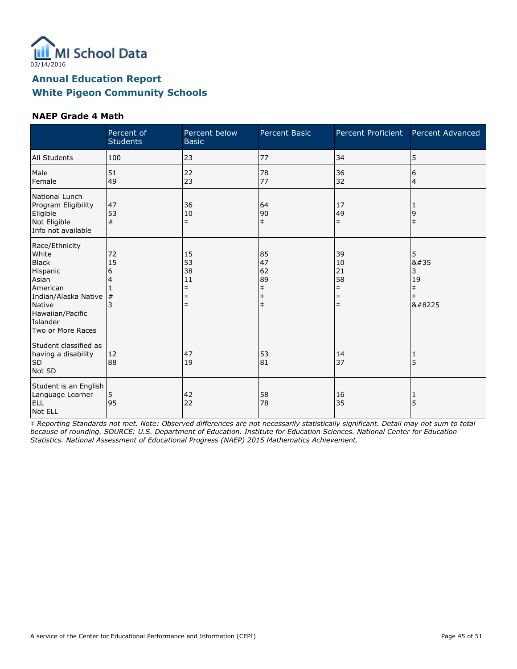

#### **NAEP Grade 4 Math**

|                                                                                                                                                                        | Percent of<br><b>Students</b>  | Percent below<br><b>Basic</b>                                  | Percent Basic                                                  | Percent Proficient                                             | Percent Advanced                        |
|------------------------------------------------------------------------------------------------------------------------------------------------------------------------|--------------------------------|----------------------------------------------------------------|----------------------------------------------------------------|----------------------------------------------------------------|-----------------------------------------|
| All Students                                                                                                                                                           | 100                            | 23                                                             | 77                                                             | 34                                                             | 5                                       |
| Male<br>Female                                                                                                                                                         | 51<br>49                       | 22<br>23                                                       | 78<br>77                                                       | 36<br>32                                                       | 6<br>4                                  |
| National Lunch<br>Program Eligibility<br>Eligible<br>Not Eligible<br>Info not available                                                                                | 47<br>53<br>#                  | 36<br>10<br>$\ddagger$                                         | 64<br>90<br>$\ddagger$                                         | 17<br>49<br>$\ddagger$                                         | 1<br>9<br>$\ddagger$                    |
| Race/Ethnicity<br>White<br><b>Black</b><br>Hispanic<br>Asian<br>American<br>Indian/Alaska Native<br><b>Native</b><br>Hawaiian/Pacific<br>Islander<br>Two or More Races | 72<br>15<br>6<br>$\frac{4}{3}$ | 15<br>53<br>38<br>11<br>$\ddagger$<br>$\ddagger$<br>$\ddagger$ | 85<br>47<br>62<br>89<br>$\ddagger$<br>$\ddagger$<br>$\ddagger$ | 39<br>10<br>21<br>58<br>$\ddagger$<br>$\ddagger$<br>$\ddagger$ | 5<br>8#35<br>3<br>19<br>$\ddagger$<br>‡ |
| Student classified as<br>having a disability<br>SD<br>Not SD                                                                                                           | 12<br>88                       | 47<br>19                                                       | 53<br>81                                                       | 14<br>37                                                       | 5                                       |
| Student is an English<br>Language Learner<br><b>ELL</b><br>Not ELL                                                                                                     | 5<br>95                        | 42<br>22                                                       | 58<br>78                                                       | 16<br>35                                                       | 1<br>5                                  |

‡ Reporting Standards not met. Note: Observed differences are not necessarily statistically significant. Detail may not sum to total because of rounding. SOURCE: U.S. Department of Education. Institute for Education Sciences. National Center for Education Statistics. National Assessment of Educational Progress (NAEP) 2015 Mathematics Achievement.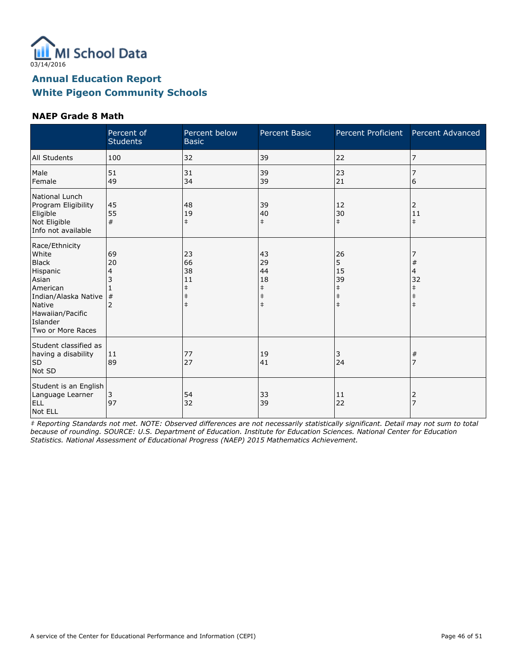

#### **NAEP Grade 8 Math**

|                                                                                                                                                                 | Percent of<br><b>Students</b>  | Percent below<br><b>Basic</b>                                  | Percent Basic                                                  | Percent Proficient                                            | Percent Advanced                                          |
|-----------------------------------------------------------------------------------------------------------------------------------------------------------------|--------------------------------|----------------------------------------------------------------|----------------------------------------------------------------|---------------------------------------------------------------|-----------------------------------------------------------|
| All Students                                                                                                                                                    | 100                            | 32                                                             | 39                                                             | 22                                                            | 7                                                         |
| Male<br>Female                                                                                                                                                  | 51<br>49                       | 31<br>34                                                       | 39<br>39                                                       | 23<br>21                                                      | 7<br>6                                                    |
| National Lunch<br>Program Eligibility<br>Eligible<br>Not Eligible<br>Info not available                                                                         | 45<br>55<br>#                  | 48<br>19<br>$\ddagger$                                         | 39<br>40<br>$\ddagger$                                         | 12<br>30<br>$\ddagger$                                        | 2<br>11<br>$\ddagger$                                     |
| Race/Ethnicity<br>White<br><b>Black</b><br>Hispanic<br>Asian<br>American<br>Indian/Alaska Native<br>Native<br>Hawaiian/Pacific<br>Islander<br>Two or More Races | 69<br>20<br>4<br>$\frac{4}{3}$ | 23<br>66<br>38<br>11<br>$\ddagger$<br>$\ddagger$<br>$\ddagger$ | 43<br>29<br>44<br>18<br>$\ddagger$<br>$\ddagger$<br>$\ddagger$ | 26<br>5<br>15<br>39<br>$\ddagger$<br>$\ddagger$<br>$\ddagger$ | $\#$<br>4<br>32<br>$\ddagger$<br>$\ddagger$<br>$\ddagger$ |
| Student classified as<br>having a disability<br>SD<br>Not SD                                                                                                    | 11<br>89                       | 77<br>27                                                       | 19<br>41                                                       | 3<br>24                                                       | $\#$                                                      |
| Student is an English<br>Language Learner<br><b>ELL</b><br>Not ELL                                                                                              | 3<br>97                        | 54<br>32                                                       | 33<br>39                                                       | 11<br>22                                                      | 2<br>7                                                    |

‡ Reporting Standards not met. NOTE: Observed differences are not necessarily statistically significant. Detail may not sum to total because of rounding. SOURCE: U.S. Department of Education. Institute for Education Sciences. National Center for Education Statistics. National Assessment of Educational Progress (NAEP) 2015 Mathematics Achievement.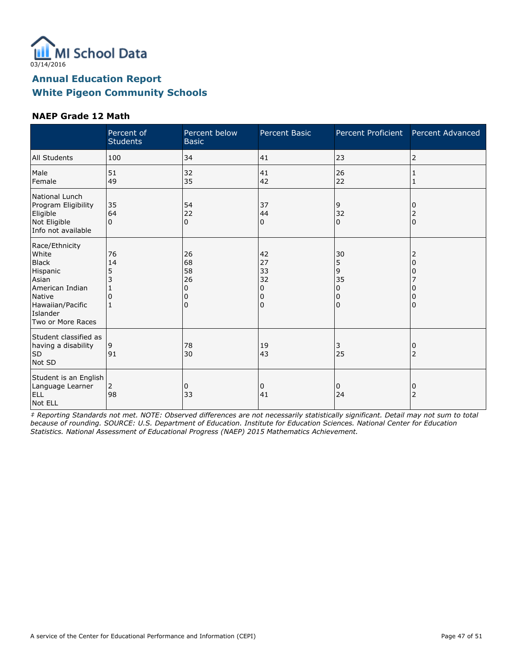

#### **NAEP Grade 12 Math**

|                                                                                                                                                | Percent of<br><b>Students</b> | Percent below<br><b>Basic</b>                  | Percent Basic                       | Percent Proficient                  | Percent Advanced    |
|------------------------------------------------------------------------------------------------------------------------------------------------|-------------------------------|------------------------------------------------|-------------------------------------|-------------------------------------|---------------------|
| <b>All Students</b>                                                                                                                            | 100                           | 34                                             | 41                                  | 23                                  | 2                   |
| Male<br>Female                                                                                                                                 | 51<br>49                      | 32<br>35                                       | 41<br>42                            | 26<br>22                            | 1<br>1              |
| National Lunch<br>Program Eligibility<br>Eligible<br>Not Eligible<br>Info not available                                                        | 35<br>64<br>$\Omega$          | 54<br>22<br>0                                  | 37<br>44<br>0                       | 9<br>32<br>$\mathbf 0$              | 2<br>$\Omega$       |
| Race/Ethnicity<br>White<br><b>Black</b><br>Hispanic<br>Asian<br>American Indian<br>Native<br>Hawaiian/Pacific<br>Islander<br>Two or More Races | 76<br>14<br>5<br>3<br>0<br>1  | 26<br>68<br>58<br>26<br>0<br>O<br><sup>0</sup> | 42<br>27<br>33<br>32<br>0<br>0<br>0 | 30<br>5<br>9<br>35<br>0<br>0<br>l 0 | 2<br>O              |
| Student classified as<br>having a disability<br><b>SD</b><br>Not SD                                                                            | 9<br>91                       | 78<br>30                                       | 19<br>43                            | 3<br>25                             | 0<br>$\overline{2}$ |
| Student is an English<br>Language Learner<br>ELL<br>Not ELL                                                                                    | 2<br>98                       | 0<br>33                                        | 0<br>41                             | 0<br>24                             | 0<br>$\overline{2}$ |

‡ Reporting Standards not met. NOTE: Observed differences are not necessarily statistically significant. Detail may not sum to total because of rounding. SOURCE: U.S. Department of Education. Institute for Education Sciences. National Center for Education Statistics. National Assessment of Educational Progress (NAEP) 2015 Mathematics Achievement.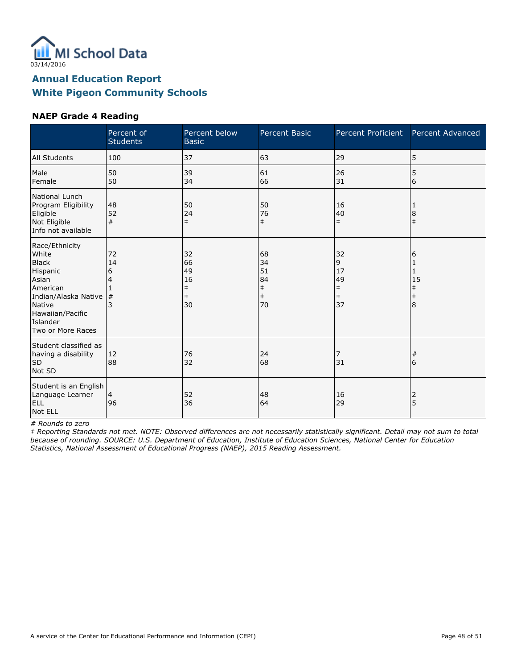

#### **NAEP Grade 4 Reading**

|                                                                                                                                                                 | Percent of<br><b>Students</b> | Percent below<br><b>Basic</b>                          | <b>Percent Basic</b>                                   | Percent Proficient                                    | Percent Advanced                              |
|-----------------------------------------------------------------------------------------------------------------------------------------------------------------|-------------------------------|--------------------------------------------------------|--------------------------------------------------------|-------------------------------------------------------|-----------------------------------------------|
| <b>All Students</b>                                                                                                                                             | 100                           | 37                                                     | 63                                                     | 29                                                    | 5                                             |
| Male<br>Female                                                                                                                                                  | 50<br>50                      | 39<br>34                                               | 61<br>66                                               | 26<br>31                                              | 5<br>6                                        |
| National Lunch<br>Program Eligibility<br>Eligible<br>Not Eligible<br>Info not available                                                                         | 48<br>52<br>#                 | 50<br>24<br>$\ddagger$                                 | 50<br>76<br>$\ddagger$                                 | 16<br>40<br>$\pm$                                     | 8<br>$\ddagger$                               |
| Race/Ethnicity<br>White<br><b>Black</b><br>Hispanic<br>Asian<br>American<br>Indian/Alaska Native<br>Native<br>Hawaiian/Pacific<br>Islander<br>Two or More Races | 72<br>14<br>6<br>4<br>#<br>3  | 32<br>66<br>49<br>16<br>$\ddagger$<br>$\ddagger$<br>30 | 68<br>34<br>51<br>84<br>$\ddagger$<br>$\ddagger$<br>70 | 32<br>9<br>17<br>49<br>$\ddagger$<br>$\ddagger$<br>37 | 6<br>1<br>15<br>$\ddagger$<br>$\ddagger$<br>8 |
| Student classified as<br>having a disability<br><b>SD</b><br>Not SD                                                                                             | 12<br>88                      | 76<br>32                                               | 24<br>68                                               | 7<br>31                                               | #<br>6                                        |
| Student is an English<br>Language Learner<br>ELL<br>Not ELL                                                                                                     | 4<br>96                       | 52<br>36                                               | 48<br>64                                               | 16<br>29                                              | 2<br>5                                        |

# Rounds to zero

‡ Reporting Standards not met. NOTE: Observed differences are not necessarily statistically significant. Detail may not sum to total because of rounding. SOURCE: U.S. Department of Education, Institute of Education Sciences, National Center for Education Statistics, National Assessment of Educational Progress (NAEP), 2015 Reading Assessment.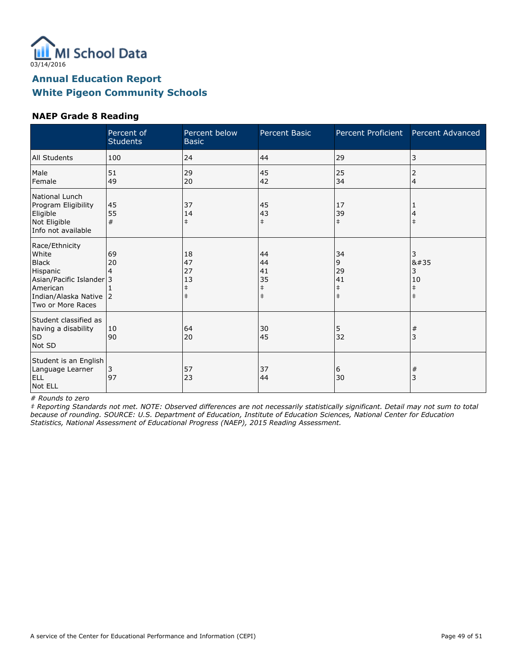

#### **NAEP Grade 8 Reading**

|                                                                                                                                            | Percent of<br><b>Students</b> | Percent below<br><b>Basic</b>                    | Percent Basic                                    | Percent Proficient                              | Percent Advanced                                 |
|--------------------------------------------------------------------------------------------------------------------------------------------|-------------------------------|--------------------------------------------------|--------------------------------------------------|-------------------------------------------------|--------------------------------------------------|
| All Students                                                                                                                               | 100                           | 24                                               | 44                                               | 29                                              | 3                                                |
| Male<br>Female                                                                                                                             | 51<br>49                      | 29<br>20                                         | 45<br>42                                         | 25<br>34                                        | 2<br>$\overline{4}$                              |
| National Lunch<br>Program Eligibility<br>Eligible<br>Not Eligible<br>Info not available                                                    | 45<br>55<br>#                 | 37<br>14<br>$\ddagger$                           | 45<br>43<br>$\ddagger$                           | 17<br>39<br>$\pm$                               | $\ddagger$                                       |
| Race/Ethnicity<br>White<br><b>Black</b><br>Hispanic<br>Asian/Pacific Islander 3<br>American<br>Indian/Alaska Native 2<br>Two or More Races | 69<br>20<br>4                 | 18<br>47<br>27<br>13<br>$\ddagger$<br>$\ddagger$ | 44<br>44<br>41<br>35<br>$\ddagger$<br>$\ddagger$ | 34<br>9<br>29<br>41<br>$\ddagger$<br>$\ddagger$ | 3<br>8#35<br>3<br>10<br>$\ddagger$<br>$\ddagger$ |
| Student classified as<br>having a disability<br><b>SD</b><br>Not SD                                                                        | 10<br>90                      | 64<br>20                                         | 30<br>45                                         | 5<br>32                                         | #<br>3                                           |
| Student is an English<br>Language Learner<br><b>ELL</b><br>Not ELL                                                                         | $\overline{3}$<br>97          | 57<br>23                                         | 37<br>44                                         | 6<br>30                                         | $\#$<br>3                                        |

# Rounds to zero

‡ Reporting Standards not met. NOTE: Observed differences are not necessarily statistically significant. Detail may not sum to total because of rounding. SOURCE: U.S. Department of Education, Institute of Education Sciences, National Center for Education Statistics, National Assessment of Educational Progress (NAEP), 2015 Reading Assessment.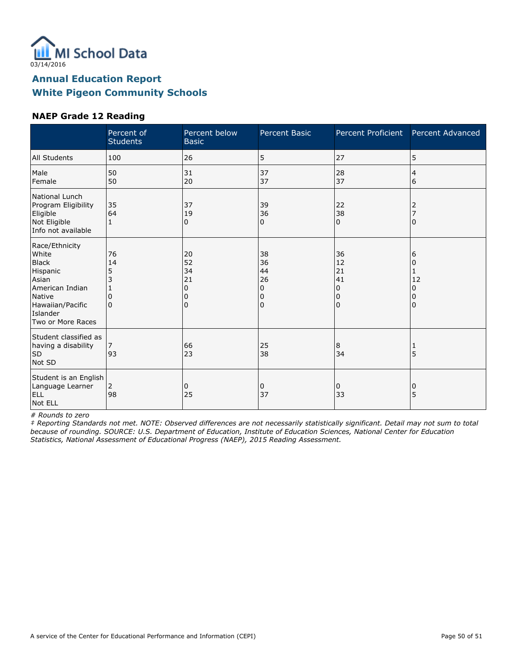

#### **NAEP Grade 12 Reading**

|                                                                                                                                                | Percent of<br><b>Students</b>       | Percent below<br><b>Basic</b>              | <b>Percent Basic</b>                | Percent Proficient                         | Percent Advanced            |
|------------------------------------------------------------------------------------------------------------------------------------------------|-------------------------------------|--------------------------------------------|-------------------------------------|--------------------------------------------|-----------------------------|
| All Students                                                                                                                                   | 100                                 | 26                                         | 5                                   | 27                                         | 5                           |
| Male<br>Female                                                                                                                                 | 50<br>50                            | 31<br>20                                   | 37<br>37                            | 28<br>37                                   | 4<br>6                      |
| National Lunch<br>Program Eligibility<br>Eligible<br>Not Eligible<br>Info not available                                                        | 35<br>64                            | 37<br>19<br>0                              | 39<br>36<br>0                       | 22<br>38<br>$\Omega$                       | 2<br>$\Omega$               |
| Race/Ethnicity<br>White<br><b>Black</b><br>Hispanic<br>Asian<br>American Indian<br>Native<br>Hawaiian/Pacific<br>Islander<br>Two or More Races | 76<br>14<br>5<br>3<br>0<br>$\Omega$ | 20<br>52<br>34<br>21<br>0<br>0<br>$\Omega$ | 38<br>36<br>44<br>26<br>0<br>0<br>0 | 36<br>12<br>21<br>41<br>0<br>0<br>$\Omega$ | 6<br>0<br>12<br>0<br>0<br>0 |
| Student classified as<br>having a disability<br>SD<br>Not SD                                                                                   | 93                                  | 66<br>23                                   | 25<br>38                            | 8<br>34                                    | 1<br>5                      |
| Student is an English<br>Language Learner<br><b>ELL</b><br>Not ELL                                                                             | 2<br>98                             | 0<br>25                                    | 0<br>37                             | 0<br>33                                    | 0<br>5                      |

# Rounds to zero

‡ Reporting Standards not met. NOTE: Observed differences are not necessarily statistically significant. Detail may not sum to total because of rounding. SOURCE: U.S. Department of Education, Institute of Education Sciences, National Center for Education Statistics, National Assessment of Educational Progress (NAEP), 2015 Reading Assessment.